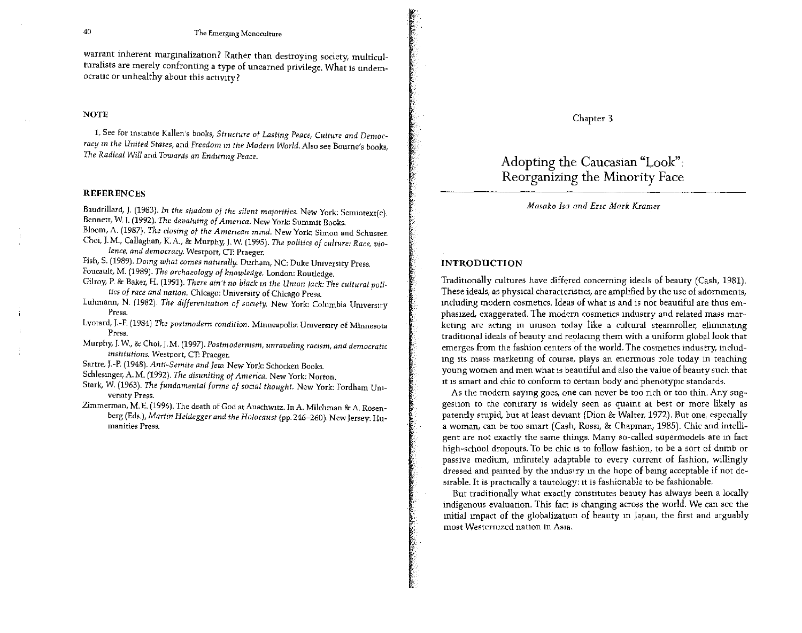warrant inherent marginalization? Rather than destroying society, multiculturalists are merely confrontmg a type of unearned privilege. What is undemocratic or unhealthy about this activity?

## NOTE

1. See for Instance Kallen's books, *Structure of Lasting Peace, Culture and Democracy* In *the Uruted States,* and *Freedom* In *the Modern World.* Also see Bourneis books, *The Radical Will* and *Towards an Enduring Peace.* 

#### **REFERENCES**

Baudrillard, J. (1983). *In the shadow of the silent majorities*. New York: Semiotext(e). Bennett, W. T. (1992). *The devaluing of Amenca.* New York: Summit Books.

- Bloom, A. (1987). *The closing ot the Amencan mmd.* New York Simon and Schuster.
- Choi, J. M., Callaghan, K. A., & Murphy, J. W. (1995). *The politics of culture: Race, violence, and democracy.* Westport, CT: Praeger.
- Fish, S. (1989). *Domg what comes naturally. Durham, NC: Duke University Press.*
- Foucault, M. (1989). *The archaeology of knowledge.* London: Routledge.

Gilroy, P. & Baker, H. (1991). *There ain't no black in the Union Jack: The cultural politics* of *race and natton.* Chicago: UniversIty of Chicago Press.

Luhmann, N. (1982). *The differentiation of society*. New York: Columbia University Press.

Lyotard, J.-F. (1984) *The postmodern condition*. Minneapolis: University of Minnesota Press.

- Murphy, J. W., & Choi, J. M. (1997). Postmodernism, unraveling racism, and democratic *Instltutions.* Westport, CT: Praeger.
- Sartre, J.-P. (1948). *Anti-Semtte and Jew.* New York: Schocken Books.
- Schlesmger, A. M. (1992). *The disuniting of Amenca.* New York: Norton.
- Stark, W. (1963). *The fundamental forms of soctal thought.* New York: Fordham Umversity Press.
- Zimmerman, M. E. (1996). The death of God at Auschwitz. In A. Milchman & A. Rosenberg (Eds.), *Martin Heidegger and the Holocaust* (pp. 246-260). New Jersey: Humanities Press.

# Chapter 3

# Adopting the Caucasian "Look": Reorganizing the Minority Face

## *Masako Isa and Ene Mark Kramer*

## INTRODUCTION

 $~\sim~$  $\mathbb{R}$ 

> Traditionally cultures have differed concerning ideals of beauty (Cash, 1981). These ideals, as physical characteristics, are amplified by the use of adornments, including modern cosmetics. Ideas of what is and is not beautiful are thus emphasized, exaggerated. The modern cosmetics industry and related mass marketing are acting in unison today like a cultural steamroller, eliminating traditional ideals of beauty and replacing them with a uniform global look that emerges from the fashion centers of the world. The cosmetics industry, including its mass marketing of course, plays an enormous role today in teaching young women and men what is beautiful and also the value of beauty such that It is smart and chic to conform to certain body and phenotypic standards.

> As the modern saying goes, one can never be too rich or too thin. Any suggestion to the contrary is widely seen as quaint at best or more likely as patently stupid, but at least deviant (Dion & Walter, 1972). But one, especially a woman, can be too smart (Cash, ROSSI, & Chapman, 1985). Chic and intelligent are not exactly the same things. Many so-called supermodels are In fact high-school dropouts. To be chic IS to follow fashion, to be a sort of dumb or passive medium, mfimtely adaptable to every current of fashion, willingly dressed and pamted by the mdustry m the hope of bemg acceptable if not destrable. It is practically a tautology: it is fashionable to be fashionable.

> But traditionally what exactly constitutes beauty has always been a locally indigenous evaluation. This fact is changing across the world. We can see the initial impact of the globalization of beauty in Japau, the first and arguably most Westermzed natIOn in ASIa.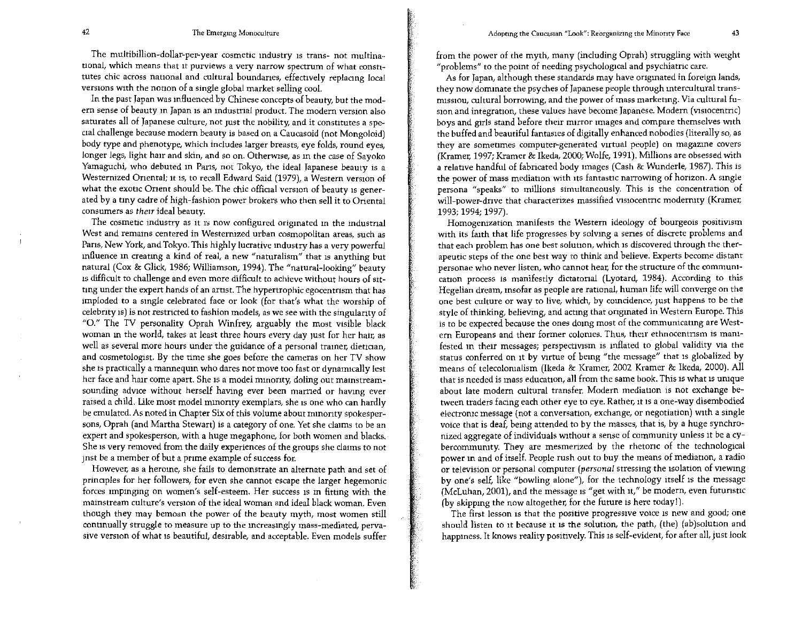#### Adopting the Caucasian "Look": Reorganizing the Minority Face 43

#### 42 The Emergmg Monoculture

The multibillion-dollar-per-year cosmetic industry is trans- not multinational, which means that it purviews a very narrow spectrum of what constitutes chic across national and cultural boundaries, effectively replacing local versions with the notion of a single global market selling cool.

In the past Iapan was influenced by Chinese concepts of beauty, but the modern sense of beauty in Japan is an industrial product. The modern version also saturates all of Japanese culture, not just the nobility, and it constitutes a special challenge because modern beauty is based on a Caucasoid (not Mongoloid) body type and phenotype, which mcludes larger breasts, eye folds, round eyes, longer legs, light hair and skin, and so on. Otherwise, as in the case of Sayoko Yamaguchi, who debuted in Paris, not Tokyo, the ideal Japanese beauty is a Westernized Oriental; it is, to recall Edward Said (1979), a Western version of what the exotic Orient should be. The chic official version of beauty is generated by a tmy cadre of high-fashion power brokers who then sell it to Oriental consumers as *their* ideal beauty.

The cosmetic industry as it is now configured originated in the industrial West and remains centered in Westernized urban cosmopolitan areas, such as Paris, New York, and Tokyo. This highly lucrative industry has a very powerful influence in creating a kind of real, a new "naturalism" that is anything but natural (Cox & Glick, 1986; Williamson, 1994). The "natural-looking" beauty IS difficult to challenge and even more difficult to achieve Without hours of sitting under the expert hands of an artist. The hypertrophic egocentrism that has imploded to a single celebrated face or look (for that's what the worship of celebnty IS) is not restncted to fashion models, as we see with the smgularity of "O." The TV personality Oprah Winfrey, arguably the most visible black woman in the world, takes at least three hours every day just for her hair, as well as several more hours under the guidance of a personal tramer, dietician, and cosmetologist. By the time she goes before the cameras on her TV show she is practically a mannequin who dares not move too fast or dynamically lest her face and hair come apart. She is a model minority, doling out mainstreamsounding advice without herself having ever been married or having ever raised a child. Like most model minority exemplars, she is one who can hardly be emulated. As noted in Chapter Six of this volume about mmonty spokespersons, Oprah (and Martha Stewart) is a category of one. Yet she claims to be an expert and spokesperson, with a huge megaphone, for both women and blacks. She is very removed from the daily experiences of the groups she claims to not jnst be a member of but a prime example of success for.

However, as a herome, she fails to demonstrate an alternate path and set of principles for her followers, for even she cannot escape the larger hegemonic forces Impmgmg on women's self-esteem. Her success IS in fittmg with the mainstream culture's version of the ideal woman and ideal black woman. Even though they may bemoan the power of the beauty myth, most women still contmually struggle to measure up to the mcreasmgly mass-mediated, pervasive version of what is beautiful, desirable, and acceptable. Even models suffer

from the power of the myth, many (including Oprah) struggling with weight "problems" to the point of needing psychological and psychiatric care.

As for Japan, although these standards may have originated in foreign lands, they now dommate the psyches of Japanese people through mtercultural transmissiou, cultural borrowing, and the power of mass marketing. Via cultural fusion and integration, these values have become Japanese. Modern (visiocentric) boys and girls stand before their mIrror Images and compare themselves WIth the buffed and beautiful fantasies of digitally enhanced nobodies (literally so, as they are sometimes computer-generated VIrtual people) on magazme covers (Kramer, 1997; Kramer & Ikeda, 2000; Wolfe, 1991). Millions are obsessed with a relative handful of fabncated body Images (Cash & Wunderle, 1987). This IS the power of mass mediation with its fantastic narrowing of horizon. A single persona "speaks" to millions SImultaneously. This is the concentration of will-power-drive that characterizes massified visiocentric modernity (Kramer, 1993; 1994; 1997).

Homogenization manifests the Western ideology of bourgeois positivism with its faith that life progresses by solving a series of discrete problems and that each problem has one best solution, which is discovered through the therapeutic steps of the one best way to think and believe. Experts become distant personae who never listen, who cannot hear, for the structure of the commumcation process is manifestly dictatorial (Lyotard, 1984). According to this Hegelian dream, Insofar as people are rational, human life will converge on the one best culture or way to live, which, by comcidence, Just happens to be the style of thinking, believing, and actmg that ongmated in Western Europe. This is to be expected because the ones domg most of the communicatmg are Western Europeans and their former colonies. Thus, their ethnocentrism is manifested in their messages; perspectivism is inflated to global validity via the status conferred on it by virtue of being "the message" that is globalized by means of telecolomalism (Ikeda & Kramer, 2002 Kramer & Ikeda, 2000). All that is needed is mass education, all from the same book. This is what is unique about late modern cultural transfer. Modern mediation is not exchange between traders facing each other eye to eye. Rather, it is a one-way disembodied electromc message (not a conversation, exchange, or negotiation) WIth a single voice that is deaf, being attended to by the masses, that is, by a huge synchronized aggregate of individuals WIthout a sense of community unless It be a cybercommunity. They are mesmerized by the rhetoric of the technological power m and of itself. People rush out to buy the means of mediation, a radio or television or personal computer *(personal* stressing the Isolation of VIewmg by one's self, like "bowling alone"), for the technology itself is the message (McLuhan, 2001), and the message is "get with it," be modern, even futuristic (by skippmg the now altogether, for the future is here today!).

The first lesson is that the positive progressive voice is new and good; one should listen to it because it is the solution, the path, (the) (ab)solution and happmess. It knows reality positively. This is self-evident, for after all, just look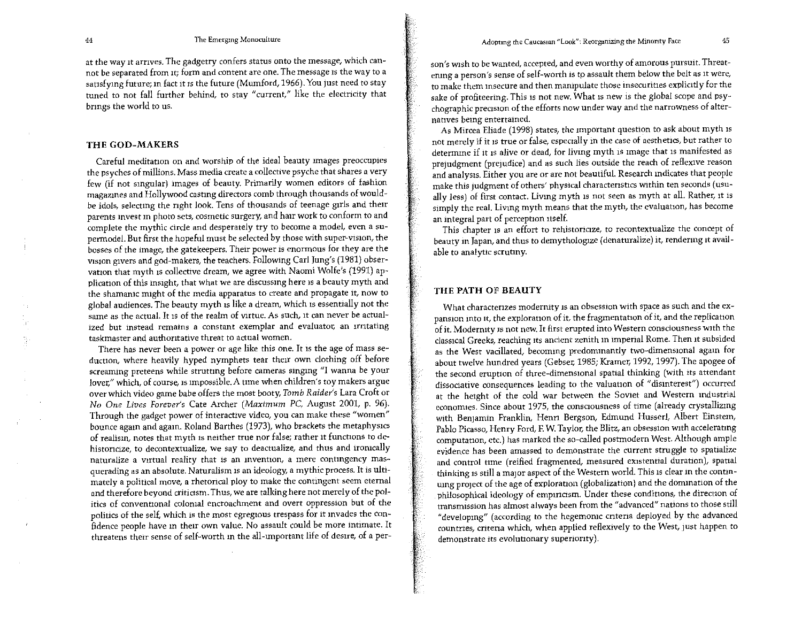at the way It arnves. The gadgetry confers status onto the message, which cannot be separated from it; form and content are one. The message is the way to a satisfying future; in fact it *is* the future (Mumford, 1966). You just need to stay tuned to not fall further behind, to stay "current," like the electricity that brmgs the world to us.

#### THE GOD-MAKERS

Careful meditation on and worship of the ideal beauty images preoccupies the psyches of millions. Mass media create a collective psyche that shares a very few (if not smgular) images of beauty. Primarily women editors of fashion magazmes and Hollywood castmg directors comb through thousands of wouldbe idols, selecting the right look. Tens of thousands of teenage girls and their parents invest in photo sets, cosmetic surgery, and hair work to conform to and complete the mythic circle and desperately try to become a model, even a supennodel. But first the hopeful must be selected by those with super-visIOn, the bosses of the image, the gatekeepers. Their power is enormous for they are the vision givers and god-makers, the teachers. Following Carl Jung's (1981) observation that myth is collective dream, we agree with Naomi Wolfe's (1991) application of this insight, that what we are discussing here is a beauty myth and the shamanic might of the media apparatus to create and propagate it, now to global audiences. The beauty myth IS like a dream, which IS essentially not the same as the actual. It is of the realm of virtue. As such, it can never be actualized but instead remains a constant exemplar and evaluator, an irritating taskmaster and authoritative threat to actual women.

There has never been a power or age like this one. It is the age of mass seduction, where heavily hyped nymphets tear their own clothing off before screaming preteens while strutting before cameras singing "I wanna be your lover," which, of course, is impossible. A time when children's toy makers argue over which video game babe offers the most booty, *Tomb Raider'S* Lara Croft or *No One Lives Forever's* Cate Archer *(Maximum* Pc' August 2001, p. 96). Through the gadget power of interactive video, you can make these "women" bounce again and again. Roland Barthes (1973), who brackets the metaphysics of realism, notes that myth is neither true nor false; rather it functions to dehistoricize, to decontextualize, we say to deactualize, and thus and ironically naturalize a virtual reality that is an invention, a mere contingency masquerading as an absolute. Naturalism IS an ideology, a mythic process. It is ultimately a political move, a rhetorical ploy to make the contingent seem eternal and therefore beyond criticism. Thus, we are talking here not merely of the politics of conventional colonial encroachment and overt oppression but of the politics of the self, which is the most egregious trespass for it invades the confidence people have in their own value. No assault could be more intimate. It threatens their sense of self-worth in the all-important life of desire, of a person's WIsh to be wanted, accepted, and even worthy of amorous pursuit. Threatening a person's sense of self-worth is to assault them below the belt as it were, to make them insecure and then manipulate those insecurities explicitly for the sake of profiteering. This is not new. What is new is the global scope and psychographic precision of the efforts now under way and the narrowness of alternatives being entertained.

As Mircea Eliade (1998) states, the Important question to ask about myth IS not merely if it is true or false, especially in the case of aesthetics, but rather to determine if it is alive or dead, for living myth is image that is manifested as prejudgment (prejudice) and as such lies outside the reach of reflexive reason and analysis. Either you are or are not beautiful. Research indicates that people make this judgment of others' physical characteristics within ten seconds (usually *less*) of first contact. Living myth is not seen as myth at all. Rather, it is simply the real. Living myth means that the myth, the evaluation, has become an integral part of perception itself.

This chapter is an effort to rehistoricize, to recontextualize the concept of beauty in Japan, and thus to demythologize (denaturalize) it, rendering it available to analytic scrutiny.

#### THE PATH Of BEAUTY

~~; ,~,\'

 $\sim$ 

1·

~~

 $~\cdots$ 

What characterizes modernity is an obsession with space as such and the expansion into it, the exploration of it, the fragmentation of it, and the replication of it. Modermty IS not new. It first erupted into Western consciousness with the classical Greeks, reaching its ancient zenith in imperial Rome. Then it subsided as the West vacillated, becoming predominantly two-dimensional again for about twelve hundred years (Gebser, 1985; Kramer, 1992, 1997). The apogee of the second eruption of three-dimensional spatial thinking (with its attendant dissociative consequences leading to the valuation of "disinterest") occurred at the height of the cold war between the Soviet and Western industrial economies. Since about 1975, the consciousness of time (already crystallizing with Benjamin Franklin, Henri Bergson, Edmund Husserl, Albert Einstem, Pablo Picasso, Henry Ford, F. W. Taylor, the Blitz, an obsession with accelerating computation, etc.) has marked the so-called postmodern West. Although ample evidence has been amassed to demonstrate the current struggle to spatialize and control time (reified fragmented, measured existential duration), spatial thinking 15 still a major aspect of the Western world. This is clear in the continung project of the age of exploration (globalization) and the domination of the philosophical ideology of empiricism. Under these conditions, the direction of transmission has almost always been from the "advanced" nations to those still "developing" (according to the hegemonic criteria deployed by the advanced countries, criteria which, when applied reflexively to the West, just happen to demonstrate its evolutionary superiority).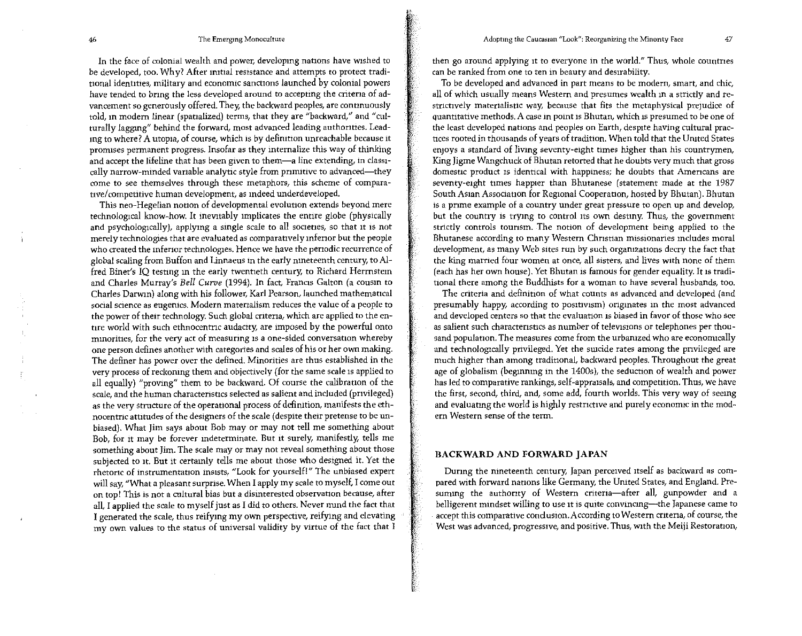In the face of colonial wealth and power, developing nations have wished to be developed, too. Why? After initial resistance and attempts to protect traditional identities, military and economic sanctions launched by colonial powers have tended to bring the less developed around to accepting the criteria of advancement so generously offered. They, the backward peoples, are contmuously told, in modern linear (spatialized) terms, that they are "backward," and "culturally lagging" behind the forward, most advanced leading authorities. Leading to where? A utopia, of course, which is by definition unreachable because it promIses permanent progress. Insofar as they internalize this way of thinking and accept the lifeline that has been given to them-a line extending, in classically narrow-minded variable analytic style from primitive to advanced-they come to see themselves through these metaphors, this scheme of comparative/competitive human development, as indeed underdeveloped.

,~

This neo-Hegelian notion of developmental evolution extends beyond mere technological know-how. It inevitably implicates the entire globe (physically and psychologically), applying a single scale to all societies, so that it is not merely technologies that are evaluated as comparatively inferior but the people who created the inferior technologies. Hence we have the periodic recurrence of global scaling from Buffon and Linnaeus m the early mneteenth century, to Alfred Binet's IQ testing in the early twentieth century, to Richard Herrnstein and Charles Murray's *Bell Curve* (1994). In fact, Francis Galton (a cousin to Charles Darwin) along with his follower, Karl Pearson, launched mathematical social science as eugenics. Modern materialism reduces the value of a people to the power of their technology. Such global criteria, which are applied to the entire world with such ethnocentric audacity, are imposed by the powerful onto minorities, for the very act of measuring is a one-sided conversation whereby one person defines another with categories and scales of his or her own making. The definer has power over the defined. Minorities are thus established in the very process of reckoning them and objectively (for the same scale is applied to all equally) "proving" them to be backward. Of course the calibration of the scale, and the human characteristics selected as salient and included (privileged) as the very structure of the operational process of definition, manifests the ethnocentric attitudes of the designers of the scale (despite their pretense to be unbiased). What Jim says about Bob mayor may not tell me something about Bob, for it may be forever indeterminate. But it surely, manifestly, tells me something about Jim. The scale mayor may not reveal something about those subjected to it. But it certainly tells me about those who designed it. Yet the rhetoric of instrumentation insists, "Look for yourself!" The unbiased expert will say, "What a pleasant surprise. When I apply my scale to myself, I come out on top! This is not a cultural bias but a disinterested observation because, after all, I applied the scale to myself just as I did to others. Never mmd the fact that I generated the scale, thus reifymg my own perspective, reifying and elevating my own values to the status of universal validity by virtue of the fact that I then go around applying it to everyone in the world." Thus, whole countries can be ranked from one to ten in beauty and desirability.

To be developed and advanced in part means to be modern, smart, and chic, all of which usually means Western and presumes wealth In a stnctly and restrictively materialistic way, because that fits the metaphysical prejudice of quantitative methods. A case in point is Bhutan, which is presumed to be one of the least developed nations and peoples on Earth, despite having cultural practices rooted in thousands of years of tradition. When told that the United States enjoys a standard of living seventy-eight times higher than his countrymen, King Jigme Wangchuck of Bhutan retorted that he doubts very much that gross domestic product is identical with happiness; he doubts that Americans are seventy-eight times happier than Bhutanese (statement made at the 1987 South Asian Association for Regional Cooperation, hosted by Bhutan). Bhutan is a pnme example of a country under great pressure to open up and develop, but the country is trying to control its own destiny. Thus, the government strictly controls tourism. The notion of development being applied to the Bhutanese according to many Western Christian missionaries includes moral development, as many Web sites run by such organizations decry the fact that the king married four women at once, all sisters, and lives with none of them (each has her own house). Yet Bhutan is famous for gender equality. It is traditional there among the Buddhists for a woman to have several husbands, too.

The criteria and definition of what counts as advanced and developed (and presumably happy, according to positivism) originates in the most advanced and developed centers so that the evaluation is biased in favor of those who see as salient such characteristics as number of televisions or telephones per thousand population. The measures come from the urbanized who are economically and technologically privileged. Yet the suicide rates among the privileged are much higher than among traditIOnal, backward peoples. Throughout the great age of globalism (beginning in the 1400s), the seduction of wealth and power has led to comparative rankings, self-appraisals, and competition. Thus, we have the first, second, third, and, some add, fourth worlds. This very way of seemg and evaluating the world is highly restrictive and purely economic in the modern Western sense of the term.

## BACKWARD AND FORWARD JAPAN

During the nineteenth century, Japan perceived itself as backward as compared with forward nations like Germany, the United States, and England. Presuming the authority of Western criteria-after all, gunpowder and a belligerent mindset willing to use it is quite convincing-the Japanese came to accept this comparative conclusion. According to Western criteria, of course, the West was advanced, progressive, and positive. Thus, with the Meiji Restoration,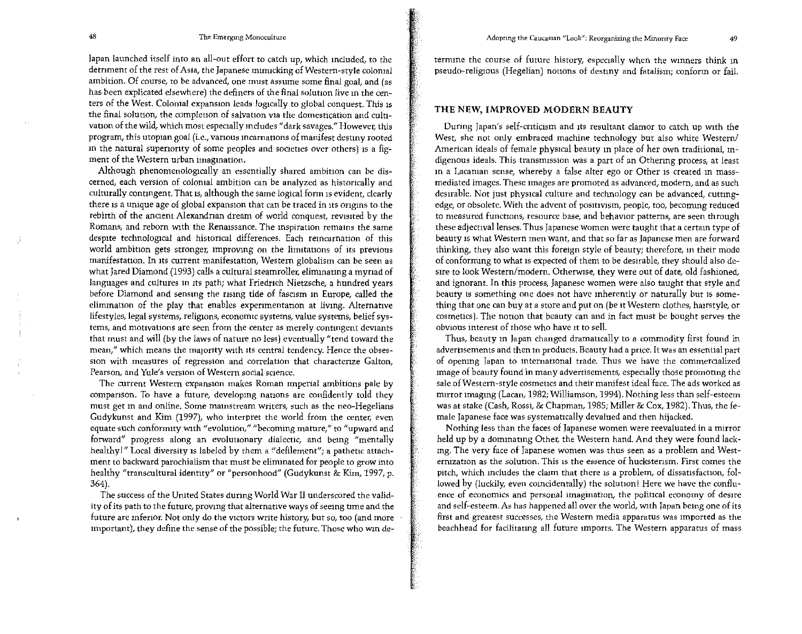Tapan launched itself into an all-out effort to catch up, which mcluded, to the detriment of the rest of Asia, the Japanese mimicking of Western-style colonial ambition. Of course, to be advanced, one must assume some final goal, and (as has been explicated elsewhere) the definers of the final solution live in the centers of the West. Colonial expansion leads logically to global conquest. This is the final solution, the completion of salvation via the domestication and cultivation of the wild, which most especially includes "dark savages." However, this program, this utopian goal (i.e., various incarnations of manifest destiny rooted In the natural superiority of some peoples and societies over others) is a figment of the Western urban imagination.

Although phenomenologically an essentially shared ambition can be discerned, each version of colomal ambition can be analyzed as historically and culturally contingent. That is, although the same logical form is evident, clearly there is a unique age of global expansion that can be traced in its origins to the rebirth of the ancient Alexandrian dream of world conquest, revisited by the Romans, and reborn with the Renaissance. The inspiration remains the same despite technological and historical differences. Each reincarnation of this world ambition gets stronger, improving on the limitations of its previous manifestation. In its current manifestation, Western globalism can be seen as what Jared Diamond (1993) calls a cultural steamroller, eliminating a myriad of languages and cultures in its path; what Friedrich Nietzsche, a hundred years before Diamond and sensing the rising tide of fascism in Europe, called the elimination of the play that enables experimentation at living. Alternative lifestyles, legal systems, religions, economic systems, value systems, belief systems, and motivations are seen from the center as merely contingent deviants that must and will (by the laws of nature no less) eventually "tend toward the mean," which means the majority with its central tendency. Hence the obsession with measures of regression and correlation that characterize Galton, Pearson, and Yule's version of Western social science.

The current Western expansion makes Roman imperial ambitions pale by comparison. To have a future, developing nations are confidently told they must get in and online. Some mainstream writers, such as the neo-Hegelians Gudykunst and Kim (1997), who mterpret the world from the center, even equate such conformity with "evolution," "becoming mature," to "upward and forward" progress along an evolutionary dialectic, and bemg "mentally healthy!" Local diversity is labeled by them a "defilement"; a pathetic attachment to backward parochialism that must be eliminated for people to grow mto healthy "transcultural identity" or "personhood" (Gudykunst & Kim, 1997, p. 364).

The success of the United States during World War II underscored the validity of its path to the future, proving that alternative ways of seeing time and the future are inferior. Not only do the victors write history, but so, too (and more Important), they define the sense of the possible; the future. Those who wm determine the course of future history, especially when the winners think in pseudo-religious (Hegelian) notions of destiny and fatalism; conform or fail.

## THE NEW, IMPROVED MODERN BEAUTY

!~. 'I f ·;1' ,t

,~,

~'

~~

ft;-

During Japan's self-criticism and its resultant clamor to catch up with the West, she not only embraced machine technology but also white Western/ American ideals of female physical beauty in place of her own traditional, indigenous ideals. This transmission was a part of an Othering process, at least In a Lacaman sense, whereby a false alter ego or Other IS created m massmediated images. These images are promoted as advanced, modern, and as such desirable. Not just physical culture and technology can be advanced, cuttingedge, or obsolete. With the advent of positivism, people, too, becoming reduced to measured functions, resource base, and behavior patterns, are seen through these adjectival lenses. Thus Japanese women were taught that a certain type of beauty IS what Western men want, and that so far as Japanese men are forward thinking, they also want this foreign style of beauty; therefore, in their mode of conforming to what is expected of them to be desirable, they should also desire to look Western/modern. Otherwise, they were out of date, old fashioned, and ignorant. In this process, Japanese women were also taught that style and beauty is something one does not have mherently or naturally but 15 something that one can buy at a store and put on (be it Western clothes, hairstyle, or cosmetics). The notion that beauty can and in fact must be bought serves the obvious interest of those who have it to sell.

Thus, beauty in Japan changed dramatically to a commodity first found in advertisements and then in products. Beauty had a price. It was an essential part of opening Japan to international trade. Thus we have the commercialized image of beauty found in many advertisements, especially those promoting the sale of Western-style cosmetics and their manifest ideal face. The ads worked as mirror imaging (Lacan, 1982; Williamson, 1994). Nothing less than self-esteem was at stake (Cash, Rossl, & Chapman, 1985; Miller & Cox, 1982). Thus, the female Japanese face was systematically devalued and then hijacked.

Nothing less than the faces of Japanese women were reevaluated in a mIrror held up by a dommatmg Other, the Western hand. And they were found lackmg. The very face of Japanese women was thus seen as a problem and Westernization as the solution. This is the essence of hucksterism. First comes the pitch, which includes the claim that there is a problem, of dissatisfaction, followed by (luckily, even coincidentally) the solution! Here we have the confluence of economics and personal imagination, the political economy of desire and self-esteem. As has happened all over the world, with Japan being one of its first and greatest successes, the Western media apparatus was imported as the beachhead for facilitatmg all future Imports. The Western apparatus of mass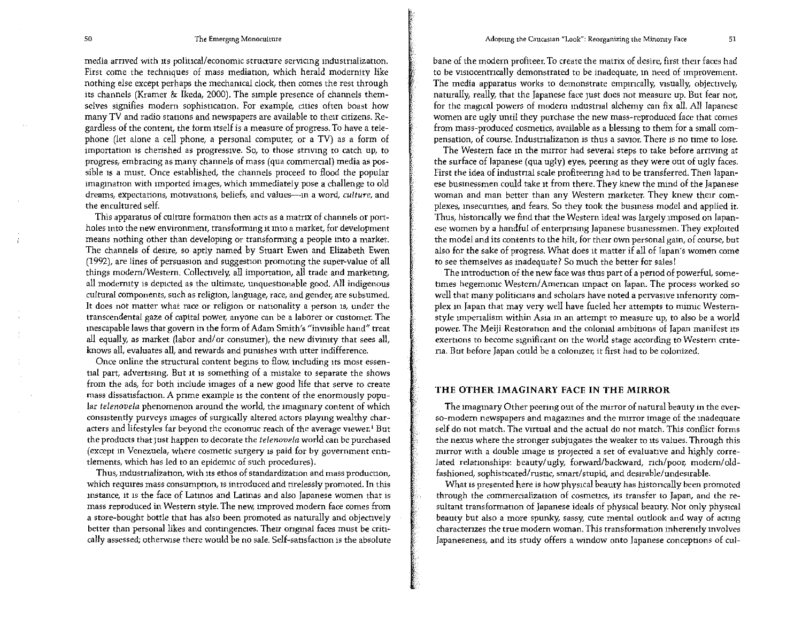media arrived with its political/economic structure servicing industrialization. First come the techniques of mass mediation, which herald modernity like nothing else except perhaps the mechanical clock, then comes the rest through its channels (Kramer & Ikeda, 2000). The sImple presence of channels themselves signifies modern sophistication. For example, cities often boast how many TV and radio stations and newspapers are available to their citizens. Regardless of the content, the form Itself is a measure of progress. To have a telephone (let alone a cell phone, a personal computer, or a TV) as a form of importation is cherished as progressive. So, to those striving to catch up, to progress, embracing as many channels of mass (qua commercial) media as possible is a must. Once established, the channels proceed to flood the popular imagination with imported images, which immediately pose a challenge to old dreams, expectations, motivations, beliefs, and values-in a word, *culture*, and the encultured self.

This apparatus of culture formation then acts as a matrix of channels or portholes into the new environment, transforming it into a market, for development means nothing other than developing or transforming a people into a market. The channels of desire, so aptly named by Stuart Ewen and Elizabeth Ewen  $(1992)$ , are lines of persuasion and suggestion promoting the super-value of all things modern/Western. Collectively, all importation, all trade and marketing, all modernity is depicted as the ultimate, unquestionable good. All indigenous cultural components, such as religion, language, race, and gender, are subsumed. It does not matter what race or religion or nationality a person is, under the transcendental gaze of capital power, anyone can be a laborer or customer. The inescapable laws that govern in the form of Adam Smith's "invisible hand" treat all equally, as market (labor and/or consumer), the new divinity that sees all, knows all, evaluates all, and rewards and pumshes WIth utter indifference.

Once online the structural content begins to flow, including its most essential part, advertising. But it is something of a mistake to separate the shows from the ads, for both include images of a new good life that serve to create mass dissatisfaction. A prime example is the content of the enormously popular *telenovela* phenomenon around the world, the Imagmary content of which consistently purveys images of surgically altered actors playing wealthy characters and lifestyles far beyond the economic reach of the average viewer.<sup>1</sup> But the products that just happen to decorate the *telenovela* world can be purchased (except in Venezuela, where cosmetic surgery is paid for by government entitlements, which has led to an epidemic of such procedures).

Thus, industrialization, with its ethos of standardization and mass production, which requires mass consumption, is introduced and tirelessly promoted. In this mstance, it IS the face of Latmos and Latinas and also Japanese women that is mass reproduced in Western style. The new, improved modern face comes from a store-bought bottle that has also been promoted as naturally and objectively better than personal likes and contingencies. Their original faces must be critically assessed; otherwise there would be no sale. Self-satisfaction is the absolute

bane of the modern profiteer. To create the matrix of desire, first their faces had to be visiocentrically demonstrated to be inadequate. in need of improvement. The media apparatus works to demonstrate empirically, visually, objectively, naturally, really, that the Japanese face just does not measure up. But fear not, for the magical powers of modern industrial alchemy can fix all. All Japanese women are ugly until they purchase the new mass-reproduced face that comes from mass-produced cosmetics, available as a blessing to them for a small compensation, of course. Industrialization is thus a savior. There is no time to lose.

The Western face in the mirror had several steps to take before arriving at the surface of Japanese (qua ugly) eyes, peermg as they were out of ugly faces. First the idea of industrial scale profiteering had to be transferred. Then Japanese businessmen could take it from there. They knew the mind of the Japanese woman and man better than any Western marketer. They knew their complexes, insecurities, and fears. So they took the business model and applied it. Thus, historically we find that the Western ideal was largely imposed on Japanese women by a handful of enterprising Japanese businessmen. They exploited the model and its contents to the hilt, for their own personal gain, of course, but also for the sake of progress. What does it matter if all of lapan's women come to see themselves as inadequate? So much the better for sales!

The introduction of the new face was thus part of a period of powerful, sometimes hegemonic Western/American impact on Japan. The process worked so well that many politicians and scholars have noted a pervasive inferiority complex in Japan that may very well have fueled her attempts to mimic Westernstyle lmpenalism within Asia In an attempt to measure up, to also be a world power. The Meiji Restoration and the colonial ambitions of Japan manifest its exertions to become significant on the world stage according to Western criteria. But before Japan could be a colonizer, it first had to be colonized.

## THE OTHER IMAGINARY FACE IN THE MIRROR

!,,~,

The Imaginary Other peering out of the mirror of natural beauty in the everso-modern newspapers and magazmes and the mIrror image of the madequate self do not match. The virtual and the actual do not match. This conflict forms the nexus where the stronger subjugates the weaker to its values. Through this mirror with a double image is projected a set of evaluative and highly correlated relationships: beauty/ugly, forward/backward, rich/poor, modern/oldfashioned, sophisticated/rustic, smart/stupid, and desirable/undesirable.

What is presented here is how physical beauty has historically been promoted through the commercialization of cosmetics, its transfer to Japan, and the resultant transformation of Japanese ideals of physical beauty. Not only physical beauty but also a more spunky, sassy, cute mental outlook and way of acting characterizes the true modern woman. This transformation inherently involves Japaneseness, and its study offers a window onto Japanese conceptions of cul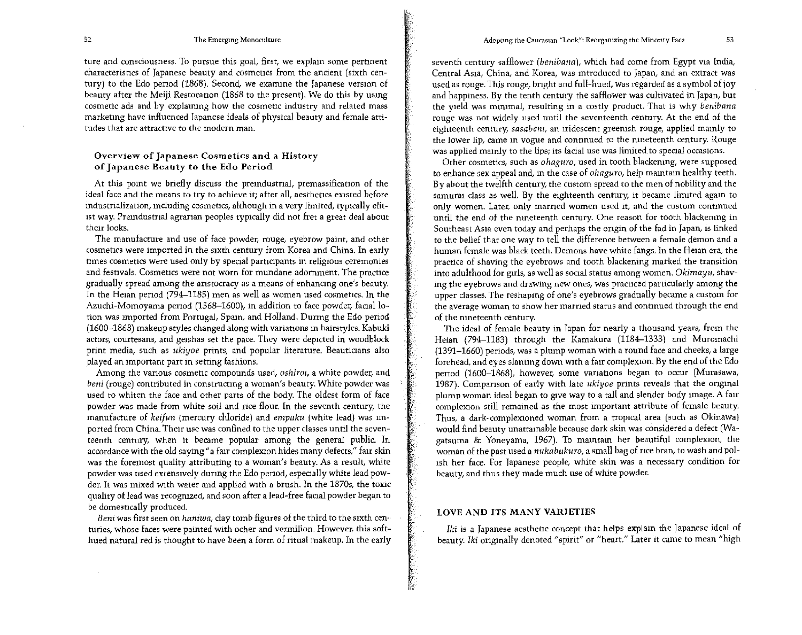ture and consciousness. To pursue this goal, first, we explam some pertment characteristics of Japanese beauty and cosmetics from the ancient (sixth century) to the Edo period (1868). Second, we examine the Japanese version of beauty after the Meiji Restoration (1868 to the present). We do this by using cosmetic ads and by explaining how the cosmetic industry and related mass marketing have influenced Japanese ideals of physical beauty and female attitudes that are attractive to the modern man.

## Overview of Japanese Cosmetics and a History of Japanese Beauty to the Edo Period

At this point we briefly discuss the preindustrial, premassification of the ideal face and the means to try to achieve it; after all, aesthetics existed before industrialization, including cosmetics, although in a very limited, typically elit-Ist way. Premdustrial agrarian peoples typically did not fret a great deal about their looks.

The manufacture and use of face powder, rouge, eyebrow paint, and other cosmetics were imported in the sixth century from Korea and China. In early times cosmetics were used only by special participants in religious ceremonies and festivals. Cosmetics were not worn for mundane adornment. The practice gradually spread among the aristocracy as a means of enhancing one's beauty. In the Heian period (794-1185) men as well as women used cosmetics. In the Azuchi-Momoyama period (1568-1600), in addition to face powder, facial lotion was imported from Portugal, Spain, and Holland. During the Edo period  $(1600-1868)$  makeup styles changed along with variations in hairstyles. Kabuki actors, courtesans, and geishas set the pace. They were depicted in woodblock print media, such as *ukiyoe* prints, and popular literature. Beauticians also played an Important part in setting fashions.

Among the various cosmetic compounds used, *oshiroi*, a white powder, and *beni* (rouge) contributed in constructmg a woman's beauty. White powder was used to whiten the face and other parts of the body. The oldest form of face powder was made from white soil and rice flour. In the seventh century, the manufacture of *lceifun* (mercury chloride) and *empaku* {white lead) was Imported from China. Their use was confined to the upper classes until the seventeenth century, when it became popular among the general public. In accordance with the old saying "a fair complexion hides many defects," fair skin was the foremost quality attributing to a woman's beauty. As a result, white powder was used extensively during the Edo period, especially white lead powder. It was mixed with water and applied with a brush. In the 1870s, the toxic quality of lead was recognized, and soon after a lead-free facial powder began to be domestically produced.

*Beni* was first seen on *hamwa*, clay tomb figures of the third to the sixth centuries, whose faces were pamted with ocher and vermilion. However, this softhued natural red is thought to have been a form of ntual makeup, In the early

seventh century safflower *(benibana)*, which had come from Egypt via India, Central Asia, China, and Korea, was introduced to Japan, and an extract was used as rouge. This rouge, bright and full-hued, was regarded as a symbol of joy and happiness. By the tenth century the safflower was cultivated in Japan, but the Yield was mimmal, resulting m a costly product. That IS why *benibana*  rouge was not widely used until the seventeenth century, At the end of the eighteenth century, *sasabent*, an iridescent greenish rouge, applied mainly to the lower lip, came In vogue and contmued to the nineteenth century. Rouge was applied mamly to the lips; its facial use was limited to special occasions.

Other cosmetics, such as *ohaguro*, used in tooth blackening, were supposed to enhance sex appeal and, m the case of *ohaguro,* help mamtain healthy teeth. By about the twelfth century, the custom spread to the men of nobility and the samurai class as well. By the eighteenth century, it became limited again to only women. Later, only married women used it, and the custom continued until the end of the nineteenth century. One reason for tooth blackeming in Southeast Asia even today and perhaps the origin of the fad in Japan, is linked to the belief that one way to tell the difference between a female demon and a human female was black teeth. Demons have white fangs. In the Heian era, the practice of shaving the eyebrows and tooth blackening marked the transition into adulthood for guls, as well as SOCIal status among women. *Olcimayu,* shaving the eyebrows and drawing new ones, was practiced particularly among the upper classes. The reshapmg of one's eyebrows gradually became a custom for the average woman to show her married status and continued through the end of the mneteenth century.

The ideal of female beauty in Japan for nearly a thousand years, from the Helan (794-1183) through the Kamakura (1184-1333) and Muromachi (1391-1660) periods, was a plump woman with a round face and cheeks, a large forehead, and eyes slanting down with a fair complexion. By the end of the Edo period (1600-1868), however, some variations began to occur (Murasawa, 1987). Companson of early with late *ukiyoe* prmts reveals that the ongmal plump woman ideal began to give way to a tall and slender body image. A fair compleXIOn still remained as the most Important attribute of female beauty. Thus, a dark-complexioned woman from a tropical area (such as Okinawa) would find beauty unattamable because dark skin was considered a defect (Wagatsuma & Yoneyama, 1967). To maintain her beautiful complexion, the woman of the past used a *nukabukuro*, a small bag of rice bran, to wash and pol-Ish her face. For Tapanese people, white skin was a necessary condition for beauty, and thus they made much use of white powder.

## LOVE AND ITS MANY VARIETIES

T

~

*lki* is a Japanese aesthetic concept that helps explain the Japanese ideal of beauty. *Iki* originally denoted "spirit" or "heart." Later it came to mean "high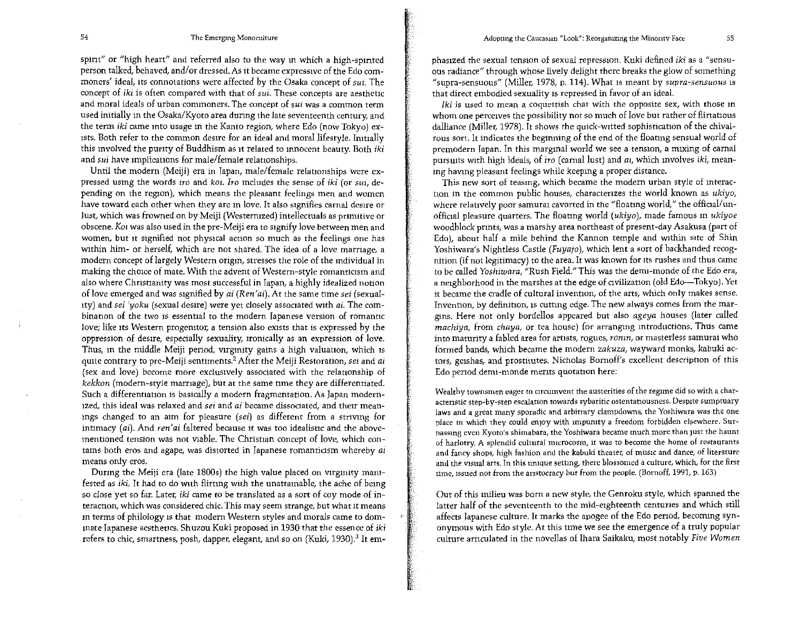spirit" or "high heart" and referred also to the way in which a high-spirited person talked, behaved, and/or dressed. As It became expressive of the Edo commoners' ideal, its connotations were affected by the Osaka concept of sui, The concept of iki is often compared with that of *sm.* These concepts are aesthetic and moral ideals of urban commoners. The concept of sui was a common term used initially in the Osaka/Kyoto area during the late seventeenth century, and the term iki came into usage in the Kanto region, where Edo (now Tokyo) exists. Both refer to the common desire for an ideal and moral lifestyle. Initially this involved the purity of Buddhism as it related to innocent beauty. Both iki and *sui* have implications for male/female relationships.

Until the modern (Meiji) era in Japan, male/female relationships were expressed using the words *iro* and *koi. Iro* mcludes the sense of *iki* (or SUI, depending on the region), which means the pleasant feelings men and women have toward each other when they are in love. It also signifies carnal desire or lust, which was frowned on by Meiji (Westermized) intellectuals as primitive or obscene. Kot was also used in the pre-Meiji era to signify love between men and women, but it signified not physical action so much as the feelings one has Within him- or herself, which are not shared. The idea of a love marnage, a modern concept of largely Western ongm, stresses the role of the mdividual in making the choice of mate. With the advent of Western-style romanticism and also where Christianity was most successful in Japan, a highly idealized notion of love emerged and was sIgnified by *ai (Ren'ai).* At the same time *sei* (sexual-Ity) and *sei 'yoku* (sexual desire) were yet closely associated with *ai*. The combination of the two is essential to the modern Japanese version of romantic love; like its Western progenitor, a tension also exists that is expressed by the oppression of desire, especially sexuality, ironically as an expression of love. Thus, in the middle Meiji period, virginity gams a high valuation, which is quite contrary to pre-Meiji sentiments.<sup>2</sup> After the Meiji Restoration, sei and ai (sex and love) become more exclusively associated with the relationship of *kekkon* (modern-style marriage), but at the same time they are differentiated. Such a differentiation is basically a modern fragmentation. As Japan modernized, this ideal was relaxed and *sei* and *ai* became dissociated, and their meanings changed to an aim for pleasure *(sei)* as different from a striving for intimacy *(ai).* And *ren'ai* faltered because It was too idealistic and the abovementioned tension was not viable. The Christian concept of love, which contams both eros and agape, was distorted in Japanese romanticism whereby *at* means only eros.

During the Meiji era (late 1800s) the high value placed on virginity manifested as *iki*. It had to do with flirting with the unattainable, the ache of being so close yet so far. Later, *iki* came to be translated as a sort of coy mode of interaction, which was considered chic. This may seem strange, but what it means m terms of philology IS that modern Western styles and morals came to dommate Japanese aesthetics. Shuzou Kuki proposed in 1930 that the essence of *iki* refers to chic, smartness, posh, dapper, elegant, and so on (Kuki, 1930).<sup>3</sup> It em-

phasized the sexual tension of sexual repression. Kuki defined *iki* as a "sensuous radiance" through whose lively delight there breaks the glow of something "supra-sensuous" (Miller, 1978, p. 114). What IS meant by *supra-sensuous* IS that direct embodied sexuality is repressed in favor of an ideal.

*Iki* is used to mean a coquettish chat with the opposite sex, with those in whom one perceives the possibility not so much of love but rather of flirtatious dalliance (Miller, 1978). It shows the quick-witted sophistication of the chivalrous sort. It indicates the beginning of the end of the floating sensual world of premodern lapan. In this margmal world we see a tension, a mixing of carnal pursuits with high ideals, of *iro* (carnal lust) and a<sub>l</sub>, which involves *iki*, meaning havmg pleasant feelings while keeping a proper distance.

This new sort of teasmg, which became the modern urban style of mteraction in the common public houses, characterizes the world known as *ukiyo*, where relatively poor samurai cavorted in the "floating world," the official/unofficIal pleasure quarters. The floatmg world *(ukiyo),* made famous In *ukiyoe*  woodblock prints, was a marshy area northeast of present-day Asakusa (part of Edo), about half a mile behind the Kannon temple and WIthin SIte of Shin Yoshiwara's Nightless Castle *(Fuyajo)*, which lent a sort of backhanded recognition (if not legitimacy) to the area. It was known for its rushes and thus came to be called *Yoshiwara,* "Rush Field." This was the demI-monde of the Edo era, a neighborhood in the marshes at the edge of civilization (old Edo-Tokyo). Yet It became the cradle of cultural invention, of the arts, which only makes sense. Invention, by definition, is cutting edge. The new always comes from the margins. Here not only bordellos appeared but also *ageya* houses (later called *machiya,* from *chaya,* or tea house) for arrangmg introductions. Thus came into maturity a fabled area for artists, rogues, romn, or masterless samurai who formed bands, which became the modern zakuza, wayward monks, kabuki actors, geishas, and prostitutes. Nicholas Bornoff's excellent description of this Edo period demi-monde merits quotation here:

Wealthy townsmen eager to circumvent the austerities of the regime did so with a characteristic step-by-step escalation towards sybaritic ostentatiousness. Despite sumptuary laws and a great many sporadic and arbitrary clampdowns, the Yoshiwara was the one place tn which they could enjoy with Impumty a freedom forbidden elsewhere. Surpassmg even Kyoto's shimabara, the Yoshiwara became much more than Just the haunt of harlotry. A splendid cultural microcosm, it was to become the home of restaurants and fancy shops, high fashion and the kabuki theater, of music and dance, of literature and the visual arts. In this unique setting, there blossomed a culture, which, for the first time, issued not from the aristocracy but from the people. (Bornoff, 1991, p. 163)

Out of this milieu was born a new style, the Genroku style, which spanned the latter half of the seventeenth to the mid-eighteenth centuries and which still affects Japanese culture. It marks the apogee of the Edo period, becoming synonymous with Edo style. At this tIme we see the emergence of a truly popular culture articulated in the novellas of Ihara Saikaku, most notably *Five Women* 

 $\mathbb{Z}_{\geq 0}$  $^*$ •  $\mathbb{R}^+$ II· I , .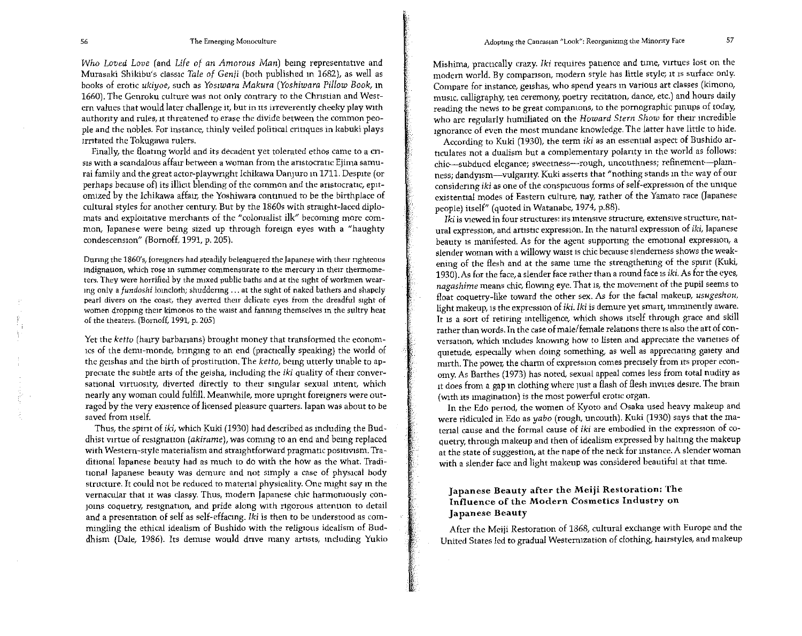*Who Loved Love* (and *Life* of *an Amorous Man)* bemg representative and Murasaki Shikibu's classic *Tale of Genji* (both published in 1682), as well as books of erotic *uldyoe,* such as *Yoslwara Makura (Yoshiwara Pillow Book,* In 1660). The Genroku culture was not only contrary to the Christian and Western values that would later challenge it, but in its irreverently cheeky play with authority and rules, It threatened to erase the divide between the common people and the nobles. For instance, thinly veiled political critiques in kabuki plays IrrItated the Tokugawa rulers,

Finally, the floating world and its decadent yet tolerated ethos came to a crisis with a scandalous affair between a woman from the aristocratic Ejima samurai family and the great actor-playwright Ichikawa Danjuro in 1711. Despite (or perhaps because of) its illicit blending of the common and the aristocratic, epitomized by the Ichikawa affair, the Yoshiwara contmued to be the birthplace of cultural styles for another century. But by the 1860s with straight-laced diplomats and exploitative merchants of the "colonialist ilk" becoming more common, Japanese were being sized up through foreign eyes with a "haughty condescension" (Bornoff, 1991, p. 205).

During the 1860's, foreigners had steadily beleaguered the Japanese with their righteous indignation, which rose in summer commensurate to the mercury in their thermometers. They were horrified by the mIxed public baths and at the sIght of workmen wear-Ing only a *fundoshi* lOIncloth; shuddenng ... at the sIght of naked bathers and shapely pearl divers on the coast, they averted their delicate eyes from the dreadful sight of women dropping their kimonos to the waist and fanning themselves in the sultry heat of the theaters. (Bornoff, 1991, p. 205)

Yet the *ketto* (hairy barbarians) brought money that transformed the economics of the demi-monde, bringing to an end (practically speaking) the world of the geishas and the birth of prostitution. The *ketto*, being utterly unable to appreciate the subtle arts of the geisha, including the *iki* quality of their conversational virtuosity, diverted directly to their singular sexual intent, which nearly any woman could fulfill. Meanwhile, more upnght foreigners were outraged by the very existence of licensed pleasure quarters. Iapan was about to be saved from itself.

Thus, the spint of iki, which Kuki (1930) had described as including the Buddhist virtue of resignation (akirame), was coming to an end and being replaced with Western-style materialism and straightforward pragmatic positivism. Traditional Tapanese beauty had as much to do WIth the how as the what. Traditional Japanese beauty was demure and not simply a case of physical body structure. It could not be reduced to material physicality. One might say in the vernacular that it was classy. Thus, modern Japanese chic harmoniously conjoms coquetry, resignation, and pride along with rigorous attention to detail and a presentation of self as self-effacing. Iki is then to be understood as commingling the ethical idealism of Bushido with the religious idealism of Buddhism (Dale, 1986). Its demise would drive many artists, including Yukio Mishima, practically crazy. *Iki* requires patience and time, virtues lost on the modern world. By comparison, modern style has little style; it is surface only. Compare for instance, geishas, who spend years in various art classes (kimono, music, calligraphy, tea ceremony, poetry recitation, dance, etc.) and hours daily reading the news to be great compamons, to the pornographic pmups of today, who are regularly humiliated on the *Howard Stern Show* for their incredible Ignorance of even the most mundane knowledge. The latter have little to hide.

According to Kuki (1930), the term *ild* as an essential aspect of Bushido articulates not a dualism but a complementary polanty m the world as follows: chic-subdued elegance; sweetness--rough, uncouthness; refinement--plamness; dandyism-vulgarity. Kuki asserts that "nothing stands in the way of our considering *iki* as one of the conspicuous forms of self-expression of the unique existential modes of Eastern culture, nay, rather of the Yamato race (Japanese people) itself" (quoted in Watanabe, 1974, p.SS).

*Iki* is viewed in four structures: its intensive structure, extensive structure, natural expression, and artistic expression. In the natural expression of *iki*, Japanese beauty is manifested. As for the agent supporting the emotional expression, a slender woman with a willowy waist is chic because slenderness shows the weakening of the flesh and at the same time the strengthening of the spint (Kuki, 1930). As for the face, a slender face rather than a round face IS *iki.* As for the eyes, *nagashime* means chic, flOWing eye. That is, the movement of the pupil seems to float coquetry-like toward the other sex. As for the facral makeup, *usugeshou,*  light makeup, is the expression of *iki. Iki* is demure yet smart, imminently aware. It is a sort of retiring intelligence, which shows itself through grace and skill rather than words. In the case of male/female relations there is also the art of conversation, which includes knowing how to listen and appreciate the varieties of quietude, especially when doing something, as well as appreciating gaiety and murth. The power, the charm of expression comes precisely from its proper economy. As Barthes (1973) has noted, sexual appeal comes less from total nudity as It does from a gap in clothing where just a flash of flesh invites desire. The brain (with its imagination) is the most powerful erotic organ.

In the Edo period, the women of Kyoto and Osaka used heavy makeup and were ridiculed in Edo as *yabo* (rough, uncouth). Kuki (1930) says that the material cause and the formal cause of iki are embodied in the expression of coquetry, through makeup and then of idealism expressed by halting the makeup at the state of suggestion, at the nape of the neck for mstance. A slender woman with a slender face and light makeup was considered beautiful at that time.

# Japanese Beauty after the Meiji Restoration: The Influence of the Modern Cosmetics Industry on Japanese Beauty

After the Meiji Restoration of 1868, cultural exchange with Europe and the United States led to gradual Westermzation of clothing, hairstyles, and makeup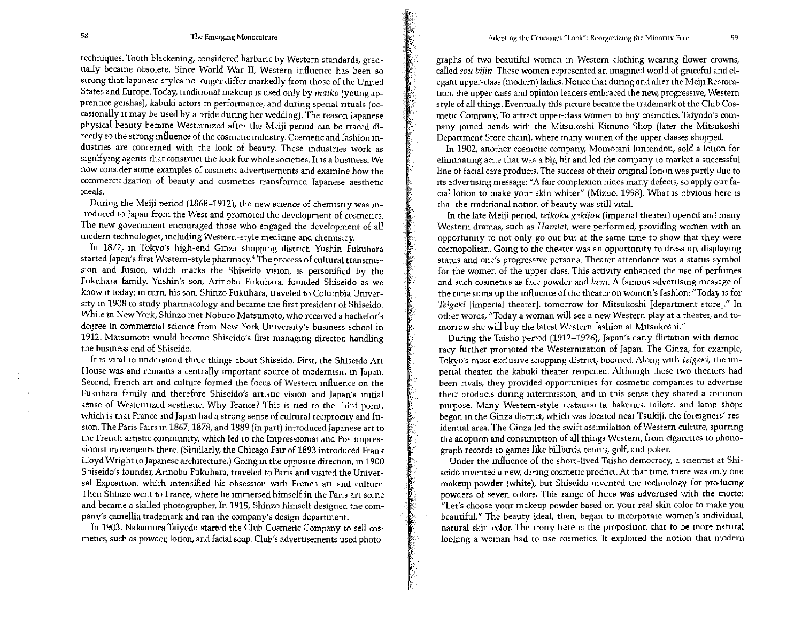rt"

techniques. Tooth blackening, considered barbaric by Western standards, gradually became obsolete. Since World War II, Western influence has been so strong that Japanese styles no longer differ markedly from those of the United States and Europe. Today, traditional makeup is used only by *maiko* (young apprentice geishas), kabuki actors in performance, and during special rituals (occasionally it may be used by a bride during her wedding). The reason Japanese physical beauty became Westermzed after the Meiji penod can be traced directly to the strong influence of the cosmetic industry. Cosmetic and fashion industnes are concerned with the look of beauty. These mdustries work as signifying agents that construct the look for whole societies. It is a business, We now consider some examples of cosmetic advertisements and examine how the commercialization of beauty and cosmetics transformed Japanese aesthetic ideals.

During the Meiji period (1868-1912), the new science of chemistry was introduced to Japan from the West and promoted the development of cosmetics. The new government encouraged those who engaged the development of all modern technologies, including Western-style medicine and chemistry.

In 1872, m Tokyo's high-end Ginza shoppmg district, Yushin Fukuhara started Japan's first Western-style pharmacy.<sup>4</sup> The process of cultural transmission and fusion, which marks the Shiseido vision, is personified by the Fukuhara family. Yushin's son, Arinobu Fukuhara, founded Shiseido as we know It today; In turn, his son, Shinzo Fukuhara, traveled to Columbia University in 1908 to study pharmacology and became the first president of Shiseido. While in New York, Shinzo met Noburo Matsumoto, who received a bachelor's degree in commercial science from New York University's business school in 1912. Matsumoto would become Shiseido's first managmg director, handling the busmess end of Shiseido.

It is vital to understand three things about Shiseido. First, the Shiseido Art House was and remams a centrally Important source of modermsm In Japan. Second, French art and culture formed the focus of Western influence on the Fukuhara family and therefore Shiseido's artistic vision and Japan's initial sense of Westermized aesthetic. Why France? This is tied to the third point, which is that France and Japan had a strong sense of cultural reciprocity and fu-SIOn. The Paris Fairs In 1867, 1878, and 1889 (in part) introduced Japanese art to the French artistic community, which led to the Impressionist and Postimpressionist movements there. (Similarly, the Chicago Fair of 1893 introduced Frank Lloyd Wright to Japanese architecture.) Going in the opposite direction, in 1900 Shiseido's founder, Arinobu Fukuhara, traveled to Paris and visited the Universal Exposition, which intensified his obsession with French art and culture. Then Shinzo went to France, where he Immersed himself in the Paris art scene and became a skilled photographer. In 1915, Shinzo himself designed the company's camellia trademark and ran the company's design department.

In 1903, Nakamura Taiyodo started the Club Cosmetic Company to sell cosmetics, such as powder, lotion, and facial soap. Club's advertisements used photo-

graphs of two beautiful women in Western clothing wearing flower crowns, called *sou bijin*. These women represented an imagined world of graceful and elegant upper-class (modern) ladies. Notice that durmg and after the Meiji Restoration, the upper class and opinion leaders embraced the new, progressive, Western style of all things. Eventually this picture became the trademark of the Club CosmetIc Company. To attract upper-class women to buy cosmetics, Taiyodo's company Jomed hands with the Mitsukoshi Kimono Shop (later the Mitsukoshi Department Store chain), where many women of the upper classes shopped.

In 1902, another cosmetic company, Momotani Juntendou, sold a lotion for elimmatmg acne that was a big hit and led the company to market a successful line of facial care products. The success of their original lotion was partly due to Its advertising message: "A fair complexion hides many defects, so apply our facial lotion to make your skin whiter" (Mizuo, 1998). What is obvious here is that the traditional notion of beauty was still vital.

In the late Meiji period, *teikoku gekijou* (imperial theater) opened and many Western dramas, such as *Hamlet,* were performed, providing women WIth an opportumty to not only go out but at the same time to show that they were cosmopolitan. Gomg to the theater was an opportumty to dress up, displaYIng status and one's progressive persona. Theater attendance was a status symbol for the women of the upper class. This activity enhanced the use of perfumes and such cosmetics as face powder and *beni*. A famous advertising message of the time sums up the influence of the theater on women's fashion: "Today is for *Teigeki* [imperial theater], tomorrow for Mitsukoshi [department store]." In other words, "Today a woman will see a new Western play at a theater, and tomorrow she will buy the latest Western fashion at Mitsukoshi."

During the Taisho period (1912-1926), Japan's early flirtation with democracy further promoted the Westermization of Japan. The Ginza, for example, Tokyo's most exclusive shopping district, boomed. Along with *teigeki*, the imperial theater, the kabuki theater reopened. Although these two theaters had been rivals, they provided opportunities for cosmetic companies to advertise their products during intermission, and in this sense they shared a common purpose. Many Western-style restaurants, bakeries, tailors, and lamp shops began in the Ginza district, which was located near Tsukiji, the foreigners' residential area. The Ginza led the swift assimilation of Western culture, spurring the adoption and consumption of all things Western, from cigarettes to phonograph records to games like billiards, tenms, golf, and poker.

Under the influence of the short-lived Taisho democracy, a scientist at Shiseido invented a new, daring cosmetic product. At that time, there was only one makeup powder (white), but Shiseido invented the technology for producing powders of seven colors. This range of hues was advertised with the motto: "Let's choose your makeup powder based on your real skin color to make you beautifuL" The beauty ideal, then, began to mcorporate women's mdividual, natural skin color. The irony here is the proposition that to be inore natural looking a woman had to use cosmetics. It exploited the notion that modern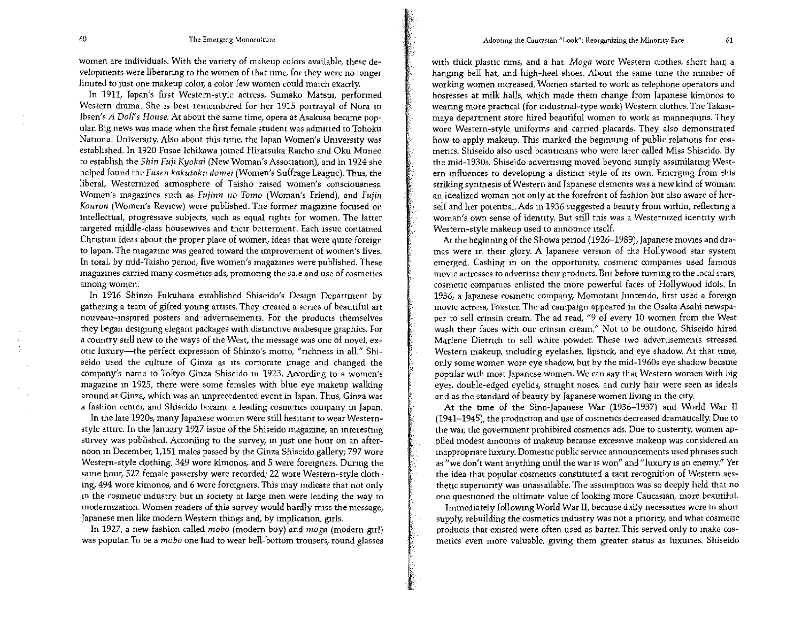't

I , r L. f

#### 60 The Emergmg Monoculture

women are individuals. With the variety of makeup colors available, these developments were liberating to the women of that tIme, for they were no longer limited to just one makeup color, a color few women could match exactly.

In 1911, Japan's first Western-style actress, Sumako Matsui, performed Western drama. She is best remembered for her 1915 portrayal of Nora in Ibsen's *A Doll'* 5 *House.* At about the same time, opera at Asakusa became popular. Big news was made when the first female student was admitted to Tohoku National University. Also about this time, the Japan Women's University was established. In 1920 Fusae Ichikawa joined Hiratsuka Raicho and Oku Muneo to establish the *Shin Fuji Kyokai* (New Woman's Association), and in 1924 she helped found the *Fusen kakutoku domei* (Women's Suffrage League). Thus, the liberal, Westernized atmosphere of Taisho raised women's consciousness. Womenis magazines such as *Fujinn no Torno* (Woman's Friend), and *Fujin*  Kouron (Women's Review) were published. The former magazine focused on intellectual, progressive subjects, such as equal rights for women. The latter targeted middle-class housewives and their betterment. Each issue contained Christian ideas about the proper place of women, ideas that were quite foreign to lapan. The magazine was geared toward the Improvement of women's lives. In total, by mid-Taisho period, five women's magazines were published. These magazines carried many cosmetics ads, promoting the sale and use of cosmetics among women.

In 1916 Shinzo Fukuhara established Shiseido's Design Department by gathering a team of gifted young artists. They created a series of beautiful art nouveau-mspired posters and advertisements. For the products themselves they began designing elegant packages with distinctive arabesque graphics. For a country still new to the ways of the West, the message was one of novel, exotic luxury-the perfect expression of Shinzo's motto, "richness in all." Shiseido used the culture of Ginza as Its corporate Image and changed the company's name to Tokyo Ginza Shiseido In 1923. According to a women's magazine in 1925, there were some females with blue eye makeup walking around at Ginza, which was an unprecedented event in Japan. Thus, Ginza was a fashion center, and Shiseido became a leading cosmetics company in Japan.

In the late 1920s, many Japanese women were still heSItant to wear Westernstyle attire. In the January 1927 issue of the Shiseido magazine, an interesting survey was published. According to the survey, in just one hour on an afternoon m December, 1,151 males passed by the Ginza Shiseido gallery; 797 wore Western-style clothing, 349 wore kimonos, and 5 were foreigners. During the same hour, 522 female passersby were recorded; 22 wore Western-style clothing, 494 wore kimonos, and 6 were foreigners. This may indicate that not only In the cosmetic industry but in society at large men were leading the way to modernization. Women readers of this survey would hardly miss the message; Japanese men like modern Western things and, by implication, girls.

In 1927, a new fashion called *mobo* (modern boy) and *moga* (modern gtrl) was popular. To be a *mobo* one had to wear bell-bottom trousers, round glasses with thick plastic rims, and a hat. *Moga* wore Western clothes, short hair, a hanging-bell hat, and high-heel shoes. About the same time the number of working women mcreased. Women started to work as telephone operators and hostesses at milk halls, which made them change from Japanese kimonos to wearing more practical (for mdustrial-type work) Western clothes. The Takasimaya department store hired beautiful women to work as mannequms. They wore Western-style uniforms and carned placards. They also demonstrated how to apply makeup. This marked the beginning of public relations for cosmetics. Shiseido also used beauticians who were later called Miss Shiseido. By the mid-1930s, Shiseido advertising moved beyond simply assimilating Western influences to developing a distinct style of its own. Emerging from this striking synthesis of Western and Japanese elements was a new kind of woman: an idealized woman not only at the forefront of fashion but also aware of herself and her potential. Ads in 1936 suggested a beauty from within, reflecting a woman's own sense of identity. But still this was a Westernized identity with Western-style makeup used to announce itself.

At the beginning of the Showa period (1926-1989), Japanese movies and dramas were in their glory. A Japanese version of the Hollywood star system emerged. Cashing in on the opportunity, cosmetic companies used famous movie actresses to advertise their products. But before turning to the local stars, cosmetic companies enlisted the more powerful faces of Hollywood idols. In 1936, a Japanese cosmetic company, Momotani Juntendo, hrst used a foreign movie actress, Foxster. The ad campaign appeared in the Osaka Asahi newspaper to sell crinsin cream. The ad read, "9 of every 10 women from the West wash their faces with our crinsin cream." Not to be outdone, Shiseido hired Marlene Dietrich to sell white powder. These two advertisements stressed Western makeup, including eyelashes, lipstick, and eye shadow. At that time, only some women wore eye shadow, but by the mid-1960s eye shadow became popular WIth most Japanese women. We can say that Western women WIth big eyes, double-edged eyelids, straight noses, and curly hair were seen as ideals and as the standard of beauty by Japanese women living in the city.

At the time of the Sino-Japanese War (1936-1937) and World War II (1941-1945), the production and use of cosmetics decreased dramatically. Due to the war, the government prohibited cosmetics ads. Due to austerity, women applied modest amounts of makeup because excessive makeup was considered an inappropriate luxury. Domestic public service announcements used phrases such as "we don't want anything until the war is won" and "luxury is an enemy." Yet the idea that popular cosmetics constituted a tacit recognition of Western aesthetic superiority was unassailable. The assumption was so deeply held that no one questioned the ultimate value of looking more Caucasian, more beautiful.

Immediately following World War II, because daily necessities were in short supply, rebuilding the cosmetics industry was not a priority, and what cosmetic products that existed were often used as barter. This served only to inake cosmetics even more valuable, giving them greater status as luxuries. Shiseido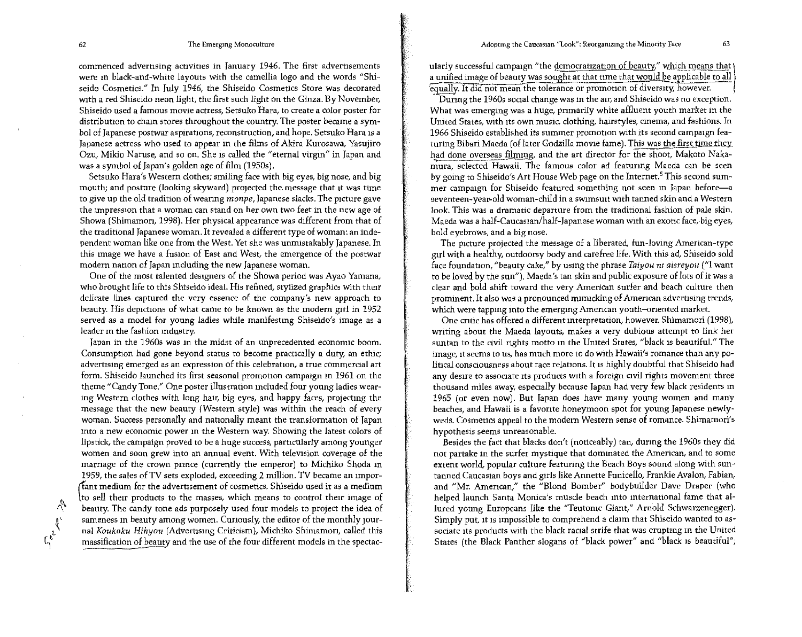commenced advertising activities in January 1946. The first advertisements were in black-and-white layouts with the camellia logo and the words "Shiseida Cosmetics." In July 1946, the Shiseido Cosmetics Store was decorated with a red Shiseido neon light, the first such light on the Ginza. By November, Shiseido used a famous movie actress, Setsuko Hara, to create a color poster for distribution to cham stores throughout the country. The poster became a symbol of Japanese postwar aspirations, reconstruction, and hope. Setsuko Hara is a Japanese actress who used to appear in the films of Akira Kurosawa, Yasujiro Ozu, Mikio Naruse, and so on. She IS called the "eternal virgin" in Japan and was a symbol of japan's golden age of film (19505),

Setsuko Hara's Western clothes; smiling face with big eyes, big nose, and big mouth; and posture (Jooking skyward) projected the, message that It was time to give up the old tradition of wearing *monpe*, Japanese slacks. The picture gave the ImpressIOn that a woman can stand on her own two feet in the new age of Showa (Shimamori, 1998). Her physical appearance was different from that of the traditional Japanese woman. It revealed a different type of woman: an independent woman like one from the West. Yet she was unmistakably Japanese. In this image we have a fusion of East and West, the emergence of the postwar modern nation of Japan mcluding the new Japanese woman.

One of the most talented designers of the Showa period was Ayao Yamana, who brought life to this Shiseido ideal. His refined, stylized graphics with their delicate lines captured the very essence of the company's new approach to beauty. His depictions of what came to be known as the modern girl in 1952 served as a model for young ladies while manifesting Shiseido's image as a leader in the fashion industry.

Japan in the 1960s was in the midst of an unprecedented economic boom. Consumption had gone beyond status to become practically a duty, an ethic; advertising emerged as an expression of this celebration, a true commercial art form. Shiseido launched its first seasonal promotion campaign in 1961 on the theme "Candy Tone." One poster illustration included four young ladies wearing Western clothes with long hair, big eyes, and happy faces, projecting the message that the new beauty (Western style) was within the reach of every woman. Success personally and nationally meant the transformation of Japan Into a new economic power In the Western way. Showmg the latest colors of lipstick, the campaign proved to be a huge success, particularly among younger women and soon grew into an annual event. With television coverage of the marriage of the crown prince (currently the emperor) to Michiko Shoda in 1959, the sales of TV sets exploded, exceeding 2 million. TV became an lmpor-(tant medium for the advertisement of cosmetics. Shiseido used it as a medium to sell their products to the masses, which means to control their image of beauty. The candy tone ads purposely used four models to project the idea of sameness in beauty among women. Curiously, the editor of the monthly journal *Koukoku Hihyou* (Advertising Criticism), Michiko Shimamori, called this massification of beauty and the use of the four different models in the spectacularly successful campaign "the democratization of beauty," which means that  $\mathcal{E}$ a unified image of beauty was sought at that time that would be applicable to all equally. It did not mean the tolerance or promotion of diversity, however.

 $\widetilde{D$ uring the 1960s social change was in the air, and Shiseido was no exception. What was emerging was a huge, primarily white affluent youth market in the United States, with its own music, clothing, hairstyles, cinema, and fashions. In 1966 Shiseido established its summer promotion with its second campaign featuring Bibari Maeda (of later Godzilla movie fame). This was the first time they had done overseas filming, and the art director for the shoot, Makoto Nakamura, selected Hawaii. The famous color ad featuring Maeda can be seen by going to Shiseido's Art House Web page on the Internet.<sup>5</sup> This second summer campaign for Shiseido featured something not seen in Japan before-a seventeen-year-old woman-child in a swimsuit with tanned skin and a Western look. This was a dramatic departure from the traditional fashion of pale skin. Maeda was a half-Caucasian/half-Japanese woman with an exotic face, big eyes, bold eyebrows, and a big nose.

The picture projected the message of a liberated, fun-Ioving American-type girl with a healthy, outdoorsy body and carefree life. With this ad, Shiseido sold face foundation, "beauty cake," by using the phrase *Taiyou nt aisreyou* ("I want to be loved by the sun"). Maeda's tan skin and public exposure of lots of it was a clear and bold shift toward the very Amencan surfer and beach culture then prominent. It also was a pronounced mimicking of American advertising trends, which were tapping into the emerging American youth-oriented market.

One critic has offered a different interpretation, however. Shimamori (1998), writing about the Maeda layouts, makes a very dubious attempt to link her suntan to the civil rights motto in the United States, "black is beautiful." The image, It seems to us, has much more to do with Hawaii's romance than any political consciousness about race relations. It is highly doubtful that Shiseido had any desire to associate its products with a foreign civil rights movement three thousand miles away, especially because Japan had very few black residents in 1965 (or even now). But Japan does have many young women and many beaches, and Hawaii is a faVOrIte honeymoon spot for young Japanese newlyweds. Cosmetics appeal to the modern Western sense of romance. Shimamori's hypothesis seems unreasonable.

Besides the fact that blacks don't (noticeably) tan, during the 1960s they did not partake in the surfer mystique that dominated the American, and to some extent world, popular culture featurmg the Beach Boys sound along with suntanned Caucasian boys and girls like Annette Funicello, Frankie Avalon, Fabian, and "Mr. Amencan," the "Blond Bomber" bodybuilder Dave Draper (who helped launch Santa Monica's muscle beach mto international fame that allured young Europeans like the "Teutonic Giant," Arnold Schwarzenegger). Simply put, it is impossible to comprehend a claim that Shiseido wanted to associate its products with the black racial strife that was erupting in the United States (the Black Panther slogans of "black power" and "black is beautiful";

 $\mathcal{S}_{\zeta}$ {'  $\epsilon^u$ 7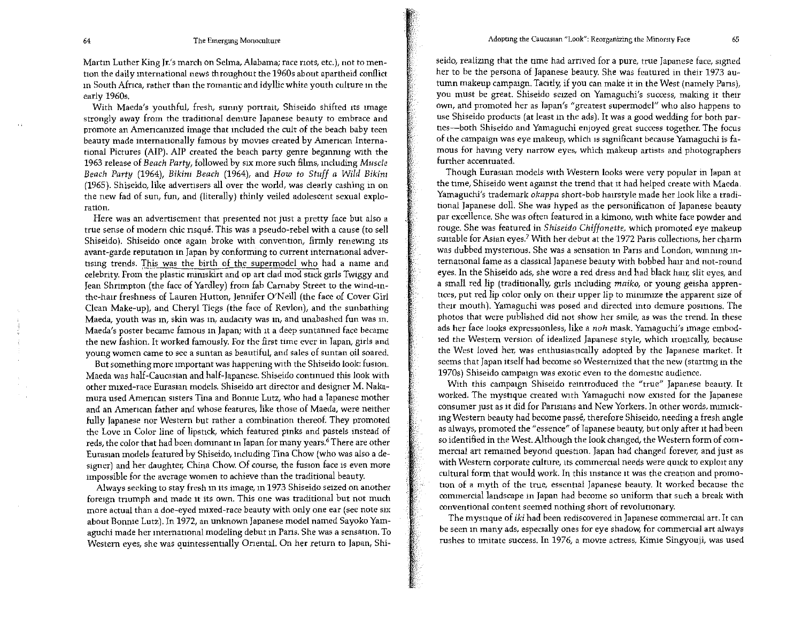Martin Luther King Jr.'s march on Selma, Alabama; race riots, etc.), not to mention the daily international news throughout the 1960s about apartheid conflict In South Africa, rather than the romantic and idyllic white youth culture in the early 19605.

~:-

 $\int_{\mathbb{R}^3}$ 

t,

With Maeda's youthful, fresh, sunny portrait, Shiseido shifted its image strongly away from the traditional demure Japanese beauty to embrace and promote an Amencamzed image that mcluded the cult of the beach baby teen beauty made internationally famous by movies created by American International Pictures (AlP). AlP created the beach party genre begmmng with the 1963 release of *Beach Party,* followed by SIX more such films, mcluding *Muscle Beach Party* (1964), *Bikini Beach* (1964), and *How* to *Stuff a* wild *Bikint*  (1965). Shiseido, like advertisers all over the world, was clearly cashing in on the new fad of sun, fun, and (literally) thinly veiled adolescent sexual exploratIon.

Here was an advertisement that presented not just a pretty face but also a true sense of modern chic rIsque. This was a pseudo-rebel with a cause (to sell Shiseido). Shiseido once again broke with convention, firmly renewing its avant-garde reputation in Japan by conforming to current international advertising trends. This was the birth of the supermodel who had a name and celebrity. From the plastic miniskirt and op art clad mod stick girls Twiggy and Jean Shrimpton (the face of Yardley) from fab Carnaby Street to the wind-mthe-hair freshness of Lauren Hutton, Jennifer O'Neill (the face of Cover Girl Clean Make-up), and Cheryl Tiegs (the face of Revlon), and the sunbathing Maeda, youth was in, skin was in, audacity was in, and unabashed fun was in. Maeda's poster became famous 1n Japan; with It a deep suntanned face became the new fashion. It worked famously. For the first time ever in Japan, girls and young women came to see a suntan as beautiful, and sales of suntan oil soared.

But something more important was happening with the Shiseido look: fusion. Maeda was half-Caucasian and half-Japanese. Shiseido contmued this look with other mixed-race Eurasian models. Shiseido art director and designer M. Nakamura used Amencan SIsters Tina and Bonme Lutz, who had a Tapanese mother and an Amencan father and whose features, like those of Maeda, were neither fully Japanese nor Western but rather a combination thereof. They promoted the Love in Color line of lipstick, which featured pinks and pastels instead of reds, the color that had been dominant in Japan for many years.<sup>6</sup> There are other Eurasian models featured by Shiseido, including Tina Chow (who was also a designer) and her daughter, China Chow. Of course, the fusion face is even more impossible for the average women to achieve than the traditional beauty.

Always seeking to stay fresh in its image, in 1973 Shiseido seized on another foreign triumph and made it its own. This one was traditional but not much more actual than a doe-eyed mIxed-race beauty with only one ear (see note six about Bonme Lutz). In 1972, an unknown Japanese model named Sayoko Yamaguchi made her international modeling debut in Paris. She was a sensation. To Western eyes, she was quintessentially Oriental. On her return to Japan, Shi-

seido, realizing that the time had arrived for a pure, true Japanese face, signed her to be the persona of Japanese beauty. She was featured in their 1973 autumn makeup campaign. Tacitly, if you can make it in the West (namely Paris), you must be great. Shiseido seized on Yamaguchi's success, making it their own, and promoted her as Japan's "greatest supermodel" who also happens to use Shiseido products (at least in the ads). It was a good wedding for both parnes-both Shiseido and Yamaguchi enjoyed great success together. The focus of the campaign was eye makeup, which IS SIgnificant because Yamaguchi is famous for havmg very narrow eyes, which makeup artists and photographers further accentuated.

Though Eurasian models with Western looks were very popular in Japan at the time, Shiseido went agamst the trend that It had helped create with Maeda. Yamaguchi's trademark *okappa* short-bob haustyle made her look like a traditional Japanese doll. She was hyped as the personification of Japanese beauty par excellence. She was often featured in a kimono, with white face powder and rouge. She was featured in *Shiseido Chiffonette,* which promoted eye makeup suitable for Asian eyes.<sup>7</sup> With her debut at the 1972 Paris collections, her charm was dubbed mysterious. She was a sensation in Paris and London, winning international fame as a classical Japanese beauty with bobbed hair and not-round eyes. In the Shiseido ads, she wore a red dress and had black hair, slit eyes, and a small red lip (traditionally, girls including *maiko*, or young geisha apprentices, put red lip color only on their upper lip to minimize the apparent size of their mouth). Yamaguchi was posed and directed into demure positions. The photos that were published did not show her smile, as was the trend. In these ads her face looks expressionless, like a *noh* mask. Yamaguchi's image embodied the Western version of idealized Japanese style, which ironically, because the West loved her, was enthusiastically adopted by the Japanese market. It seems that Japan itself had become so Westernized that the new (starting in the 1970s) Shiseido campaign was exotic even to the domestic audience.

With this campaign Shiseido reintroduced the "true" Japanese beauty. It worked. The mystique created with Yamaguchi now existed for the Japanese consumer just as it did for Parisians and New Yorkers. In other words, mimicking Western beauty had become passe, therefore Shiseido, needing a fresh angle as always, promoted the "essence" of Iapanese beauty, but only after it had been so identified in the West. Although the look changed, the Western form of commercial art remamed beyond question. Japan had changed forever, and just as with Western corporate culture, its commercial needs were quick to exploit any cultural form that would work. In this Instance It was the creation and promotion of a myth of the true, essential Japanese beauty. It worked because the commercial landscape in Japan had become so uniform that such a break with conventional content seemed nothing short of revolutionary.

The mystique of *iki* had been rediscovered in Japanese commercial art. It can be seen in many ads, especially ones for eye shadow, for commercial art always rushes to imitate success. In 1976, a movie actress, Kimie Singyouji, was used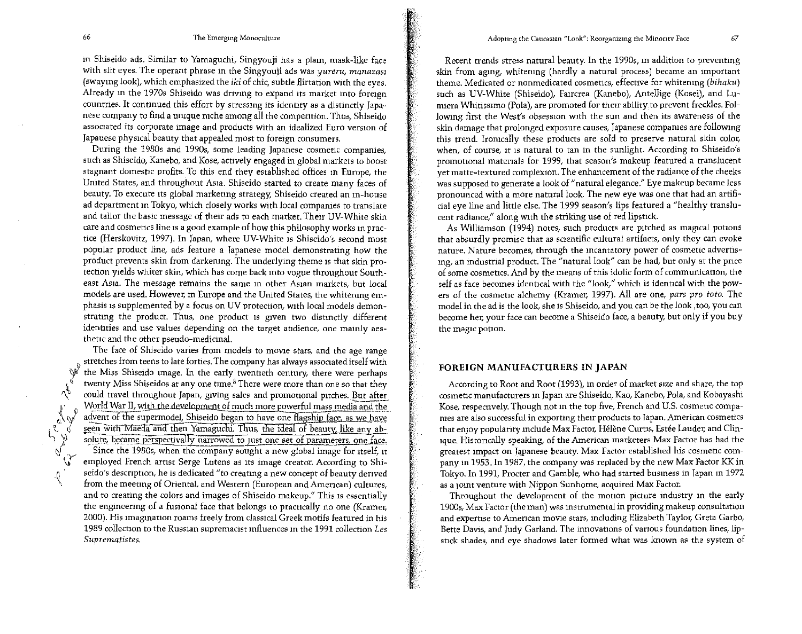In Shiseido ads. Similar to Yamaguchi, Singyouji has a plam, mask-like face with slit eyes. The operant phrase in the Singyouji ads was *yureru, manazasi*  $\beta$  (swaying look), which emphasized the *iki* of chic, subtle flirtation with the eyes. Already in the 1970s Shiseido was driving to expand its market into foreign countries. It continued this effort by stressing its identity as a distinctly  $Iapa$ nese company to find a unique niche among all the competition. Thus, Shiseido associated its corporate image and products with an idealized Euro version of Japanese physical beauty that appealed most to foreign consumers.

During the 1980s and 1990s, some leading Japanese cosmetic companies. such as Shiseido, Kanebo, and Kose, actively engaged in global markets to boost stagnant domestic profits. To this end they established offices In Europe, the United States, and throughout ASIa. Shiseido started to create many faces of beauty. To execute its global marketing strategy, Shiseido created an in-house ad department in Tokyo, which closely works with local companies to translate and tailor the basic message of their ads to each market. Their UV-White skin care and cosmetics line IS a good example of how this philosophy works In practice (Herskovitz, 1997). In Japan, where UV-White IS Shiseido's second most popular product line, ads feature a Japanese model demonstrating how the product prevents skin from darkening. The underlying theme is that skin protection YIelds whiter skin, which has come back mto vogue throughout Southeast ASia. The message remains the same In other ASIan markets, but local models are used. However, in Europe and the United States, the whitening emphasis is supplemented by a focus on UV protection, with local models demonstrating the product. Thus, one product is given two distinctly different identities and use values depending on the target audience, one mainly aesthetic and the other pseudo-medicinal.<br>The face of Shiseido varies from models to movie stars, and the age range

The face of Shiseido vanes from models to mOVIe stars, and the age range  $\gamma_\text{M}$  stretches from teens to late forties. The company has always associated itself with the Miss Shiseido Image. In the early twentieth century, there were perhaps twenty Miss Shiseidos at any one time.<sup>8</sup> There were more than one so that they could travel throughout Japan, giving sales and promotional pitches. But after World War II, with the development of much more powerful mass media and the advent of the supermodel, Shiseido began to have one flagship face, as we have seen with Maeda and then Yamaguchi. Thus, the ideal of beauty, like any absolute, became perspectivally narrowed to just one set of parameters, one face. Since the 1980s, when the company sought a new global image for itself, it  $q^{\prime}$  .  $\sim$ employed French artist Serge Lutens as its image creator. According to Shiseido's description, he is dedicated "to creating a new concept of beauty derived from the meetmg of Oriental, and Western (European and Amencan) cultures, and to creating the colors and images of Shiseido makeup." This is essentially the engineering of a fusional face that belongs to practically no one (Kramer, 2000). His imagination roams freely from classical Greek motifs featured in his 1989 collection to the Russian supremacist influences in the 1991 collection Les *Suprematistes.* 

Recent trends stress natural beauty. In the 1990s, m addition to preventmg skin from aging, whitening (hardly a natural process) became an important theme. Medicated or nonmedicated cosmetics, effective for whitening *(bihaku)* such as UV-White (Shiseido), Faircrea (Kanebo), Antellige (Kosei), and Lumiera Whitissimo (Pola), are promoted for their ability to prevent freckles. Following first the West's obsession with the sun and then its awareness of the skin damage that prolonged exposure causes, Japanese compames are followmg this trend. Iromcally these products are sold to preserve natural skin color, when, of course, it is natural to tan in the sunlight. According to Shiseido's promotional materials for 1999, that season's makeup featured a translucent yet matte-textured complexIOn. The enhancement of the radiance of the cheeks was supposed to generate a look of "natural elegance." Eye makeup became less pronounced with a more natural look. The new eye was one that had an artificial eye line and little else. The 1999 season's lips featured a "healthy translucent radiance," along with the striking use of red lipstick.

As Williamson (1994) notes, such products are pitched as magical potions that absurdly promise that as scientific cultural artifacts, only they can evoke nature. Nature becomes, through the incantatory power of cosmetic advertising, an industrial product. The "natural look" can be had, but only at the price of some cosmetics. And by the means of this idolic form of communication, the self as face becomes identical with the "look," which is identical with the powers of the cosmetic alchemy (Kramer, 1997). All are one, *pars pro toto*. The model in the ad is the look, she is Shiseido, and you can be the look, toO, you can become her, your face can become a Shiseido face, a beauty, but only if you buy the magic potion.

#### FOREIGN MANUFACTURERS IN JAPAN

According to Root and Root (1993), in order of market size and share, the top cosmetic manufacturers in Japan are Shiseido, Kao, Kanebo, Pola, and Kobayashi Kose, respectively. Though not in the top five, French and U.S. cosmetic compames are also successful in exporting their products to Japan. American cosmetics that enjoy popularity include Max Factor, Hélène Curtis, Estée Lauder, and Clinlque. Histoncally speaking, of the American marketers Max Factor has had the greatest impact on Japanese beauty. Max Factor established his cosmetic company in 1953. In 1987, the company was replaced by the new Max Factor KK in Tokyo. In 1991, Procter and Gamble, who had started busmess in Japan In 1972 as a joint venture with Nippon Sunhome, acquired Max Factor.

Throughout the development of the motion picture industry in the early 1900s, Max Factor (the man) was Instrumental in providing makeup consultation and expertise to American movie stars, including Elizabeth Taylor, Greta Garbo, Bette Davis, and Judy Garland. The innovations of various foundation lines, lipstick shades, and eye shadows later formed what was known as the system of

 $\frac{1}{2}$  0  $\iota^{\mathfrak{a}\setminus \mathfrak{y}'}$ 

 $\int_0^a$ 

"'-  $\sqrt{2}$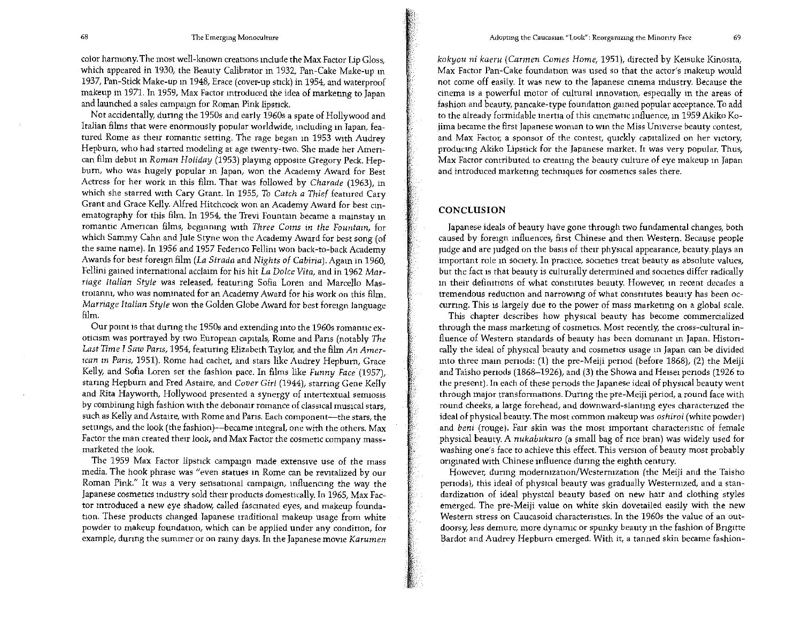color harmony. The most well-known creations include the Max Factor Lip Gloss, which appeared in 1930, the Beauty Calibrator in 1932, Pan-Cake Make-up In 1937, Pan-Stick Make-up in 1948, Erace (cover-up stick) in 1954, and waterproof makeup in 1971. In 1959, Max Factor introduced the idea of marketing to Japan and launched a sales campaign for Roman Pink lipstick.

Not accidentally, during the 1950s and early 1960s a spate of Hollywood and Italian films that were enormously popular worldwide, mcluding in lapan, featured Rome as their romantic setting. The rage began in 1953 with Audrey Hepburn, who had started modeling at age twenty-two. She made her Amencan film debut m *Roman Holiday* (1953) playmg opposite Gregory Peck. Hepburn, who was hugely popular In Japan, won the Academy Award for Best Actress for her work m this film. That was followed by *Charade* (1963), in which she starred with Cary Grant. In 1955, *To Catch a Thief* featured Cary Grant and Grace Kelly. Alfred Hitchcock won an Academy Award for best Cinematography for this film. In 1954, the Trevi Fountam became a mainstay In romantic American films, beginning with *Three Coms in the Fountain*, for which Sammy Cahn and Jule Styne won the Academy Award for best song (of the same name). In 1956 and 1957 Fedenco Fellim won back-to-back Academy Awards for best foreign film *(La Strada* and *Nights of Cabiria)*. Again in 1960, Fellini gained international acclaim for his hit *La Dolce Vita*, and in 1962 Marriage Italian Style was released, featuring Sofia Loren and Marcello Mastroianni, who was nominated for an Academy Award for his work on this film. *Marriage Italian Style won the Golden Globe Award for best foreign language* film.

Our point is that during the 1950s and extending into the 1960s romantic exoticism was portrayed by two European capitals, Rome and Paris (notably *The* Last Time I Saw Paris, 1954, featuring Elizabeth Taylor, and the film *An Amer*ican in Paris, 1951). Rome had cachet, and stars like Audrey Hepburn, Grace Kelly, and Sofia Loren set the fashion pace. In films like *Funny Face (1957),*  stanng Hepburn and Fred Astaire, and *Cover Girl* (1944), starring Gene Kelly and Rita Hayworth, Hollywood presented a synergy of intertextual semiosis by combining high fashion with the debonair romance of classical musical stars, such as Kelly and Astaire, with Rome and Paris. Each component-the stars, the settings, and the look (the fashion)---became integral, one with the others. Max Factor the man created their look, and Max Factor the cosmetic company massmarketed the look.

The 1959 Max Factor lipstick campaign made extensive use of the mass media. The hook phrase was "even statues in Rome can be revitalized by our Roman Pink." It was a very sensational campaign, influencmg the way the Japanese cosmetics industry sold their products domestically. In 1965, Max Factor mtroduced a new eye shadow, called fascmated eyes, and makeup foundation. These products changed Japanese traditional makeup usage from white powder to makeup foundation, which can be applied under any condition, for example, during the summer or on rainy days. In the Japanese movie *Karumen* 

*kokyou ni kaeru (Carmen Comes Home,* 1951), directed by Kelsuke Kinoslta! Max Factor Pan-Cake foundation was used so that the actor's makeup would not come off easily. It was new to the Japanese cmema mdustry. Because the cinema is a powerful motor of cultural innovation, especially in the areas of fashion and beauty, pancake-type foundation gained popular acceptance. To add to the already formidable inertia of this cinematic influence, in 1959 Akiko Kojima became the first Japanese woman to win the Miss Universe beauty contest, and Max Factor, a sponsor of the contest, quickly capitalized on her victory, producmg Akiko lipstick for the Japanese market. It was very popular. Thus, Max Factor contributed to creating the beauty culture of eye makeup in Japan and introduced marketing techniques for cosmetics sales there.

## **CONCLUSION**

r

It

 $\mathbb{R}$ 

Japanese ideals of beauty have gone through two fundamental changes, both caused by foreign influences, first Chinese and then Western. Because people judge and are judged on the basis of their physical appearance, beauty. plays an important role in society. In practice, societies treat beauty as absolute values, but the fact is that beauty is culturally determined and societies differ radically in their definitions of what constitutes beauty. However, in recent decades a tremendous reduction and narrowing of what constitutes beauty has been occurrmg. This IS largely due to the power of mass marketmg on a global scale.

This chapter describes how physical beauty has become commercialized through the mass marketing of cosmetics. Most recently, the cross-cultural influence of Western standards of beauty has been dominant in Japan. Historically the ideal of physical beauty and cosmetics usage in Japan can be divided into three main periods: (1) the pre-Meiji period (before  $1868$ ), (2) the Meiji and Taisho periods (1868-1926), and (3) the Showa and Heisel periods (1926 to the present). In each of these periods the Japanese ideal of physical beauty went through major transformations. During the pre-Meiji period, a round face with round cheeks, a large forehead, and downward-slanting eyes characterized the ideal of physical beauty. The most common makeup was *oshiroi* (white powder) and *beni* (rouge). Fair skin was the most important characteristic of female phYSIcal beauty. A *nulcabukuro* (a small bag of nce bran) was widely used for washing one's face to achieve this effect. This version of beauty most probably originated with Chinese influence during the eighth century.

However, during modernization/Westermization (the Meiji and the Taisho periods), this ideal of physical beauty was gradually Westermized, and a standardization of ideal physical beauty based on new hair and clothing styles emerged. The pre-Meiji value on white skin dovetailed easily with the new Western stress on Caucasoid characteristics. In the 1960s the value of an outdoorsy, less demure, more dynamic or spunky beauty in the fashion of Brigitte Bardot and Audrey Hepburn emerged. With it, a tanned skin became fashion-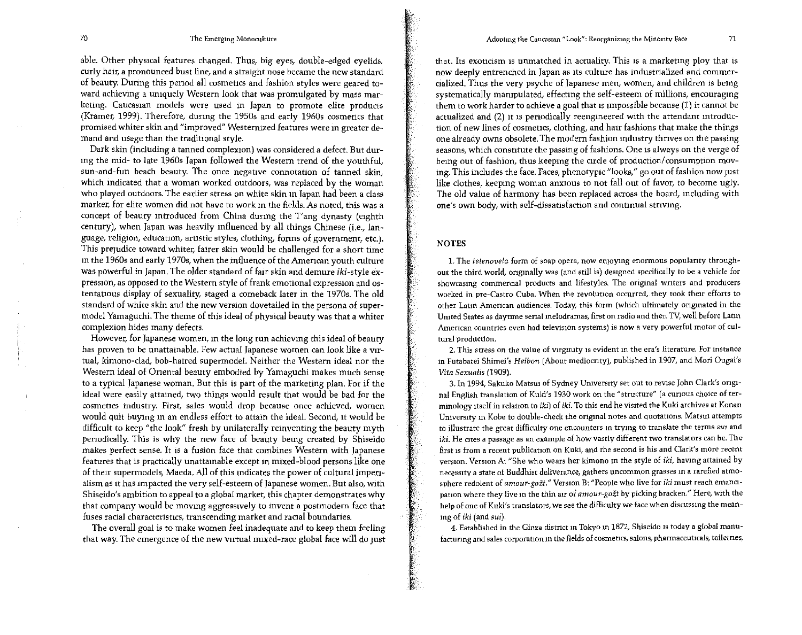able. Other physical features changed. Thus, big eyes, double-edged eyelids, curly hair, a pronounced bust line, and a straight nose became the new standard of beauty. During this penod all cosmetics and fashion styles were geared toward achievmg a umquely Western look that was promulgated by mass marketing. Caucasian models were used in Japan to promote elite products (Kramer, 1999). Therefore, during the 1950s and early  $1960s$  cosmetics that promised whiter skin and "improved" Westernized features were m greater demand and usage than the traditional style.

Dark skin (induding a tanned complexIOn) was considered a defect. But durmg the mid- to late 19605 Japan followed the Western trend of the youthful, sun-and-fun beach beauty. The once negative connotation of tanned skin, which mdicated that a woman worked outdoors, was replaced by the woman who played outdoors. The earlier stress on white skin in Japan had been a class marker, for elite women did not have to work In the fields. As noted, this was a concept of beauty introduced from China during the T'ang dynasty (eighth century), when Japan was heavily mfluenced by all things Chinese (i.e., language, religion, education, artistic styles, clothing, forms of government, etc.). This prejudice toward whiter, fairer skin would be challenged for a short time In the 1960s and early 1970s, when the influence of the Amencan youth culture was powerful in Japan. The older standard of fair skin and demure *iki-style* expression, as opposed to the Western style of frank emotional expression and ostentatious display of sexuality, staged a comeback later in the 1970s. The old standard of white skin and the new version dovetailed in the persona of supermodel Yamaguchi. The theme of this ideal of phYSIcal beauty was that a whiter compleXion hides many defects.

However, for Japanese women, m the long run achievmg this ideal of beauty has proven to be unattainable. Few actual Japanese women can look like a virtual, kimono-clad, bob-haired supermode1. Neither the Western ideal nor the Western ideal of Onental beauty embodied by Yamaguchi makes much sense to a typical Japanese woman. But this is part of the marketing plan. For if the ideal were easily attained, two things would result that would be bad for the cosmetics industry. First, sales would drop because once achieved, women would quit buying m an endless effort to attain the ideal. Second, It would be difficult to keep "the look" fresh by unilaterally remventing the beauty myth penodically. This is why the new face of beauty bemg created by Shiseido makes perfect sense. It is a fusion face that combines Western with Japanese features that IS practically unattainable except In mixed-blood persons like one of their supermodels, Maeda. All of this indicates the power of cultural impenalism as It has Impacted the very self-esteem of Japanese women. But also, WIth Shiseido's ambition to appeal to a global market, this chapter demonstrates why that company would be moving aggressively to invent a postmodern face that fuses racial characteristics, transcending market and racial boundaries.

The overall goal is to make women feel inadequate and to keep them feeling that way. The emergence of the new Virtual mixed-race global face will do Just

that. Its exoticism is unmatched in actuality. This is a marketing ploy that is now deeply entrenched in Japan as its culture has industrialized and commercialized. Thus the very psyche of Japanese men, women, and children is being systematically mampulated, effecting the self-esteem of millions, encouraging them to work harder to achieve a goal that IS Impossible because (1) it cannot be actualized and (2) it is periodically reengineered with the attendant introduction of new lines of cosmetics, clothing, and hair fashions that make the things one already owns obsolete. The modern fashion industry thrives on the passing seasons, which constitute the passing of fashions. One is always on the verge of being out of fashion, thus keeping the circle of production/consumption moving. This includes the face. Faces, phenotypic "looks," go out of fashion now just like clothes, keeping woman anxious to not fall out of favor, to become ugly. The old value of harmony has been replaced across the board, mcluding with one's own body, with self-dissatisfaction and continual striving.

### NOTES

 $\mathbb{R}^2$ ri'; ~!-

> t-1j'

 $\mathbf{r}$ ~{

 $\mathbb{R}$ 

 $\mathbb{R}$  .

1. The *telenovela* form of soap opera, now enJoYIng enormous populanty throughout the third world, originally was (and still is) designed specifically to be a vehicle for showcasing commercial products and lifestyles. The original writers and producers worked in pre-Castro Cuba. When the revolution occurred, they took their efforts to other Latm Amencan audiences. Today, this form (which ultimately ongmated in the United States as daytime serial melodramas, first on radio and then TV, well before Latin American countries even had television systems) is now a very powerful motor of cultural production.

2. This stress on the value of virginity is evident in the era's literature. For instance in Futabatei Shimei's *Heibon* (About mediocrity), published in 1907, and Mori Ougai's *Vita Sexualis (1909).* 

3. In 1994, Sakuko Matsui of Sydney University set out to revise John Clark's onginal English translation of Kuki's 1930 work on the "structure" (a curious choice of terminology itself in relation to iki) of iki. To this end he visited the Kuki archives at Konan University in Kobe to double-check the original notes and quotations. Matsui attempts to illustrate the great difficulty one encounters 10 trymg to translate the terms *SUl* and iki. He cites a passage as an example of how vastly different two translators can be. The first is from a recent publication on Kuki, and the second is his and Clark's more recent version. Version A: "She who wears her kimono in the style of iki, having attained by necessity a state of Buddhist deliverance, gathers uncommon grasses in a rarefied atmosphere redolent of amour-gožt." Version B: "People who live for iki must reach emancipation where they live in the thin air of amour-gožt by picking bracken." Here, with the help of one of Kuki's translators, we see the difficulty we face when discussing the meanmg of *iki* (and *sui).* 

4. Established in the Ginza district in Tokyo in 1872, Shiseido is today a global manufacturing and sales corporation in the fields of cosmetics, salons, pharmaceuticals, toiletries,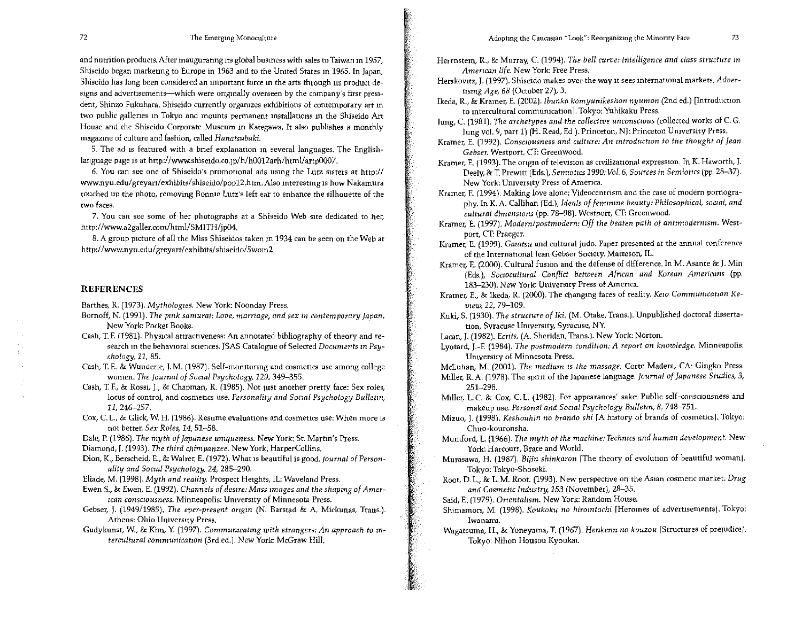P. *C* 

:if

 $~\cdots$ IJ

 $\mathfrak{g}$  ,

~, " ;~'

> **Income Comment** : *.t:.*  i!.  $\mathfrak{f}% _{0}$

> , *t*

and nutrition products. After mauguratmg Its global busmess with sales to Taiwan In 1957, Shiseido began marketmg to Europe in 1963 and to the Untted States In 1965. In Japan, Shiseido has long been considered an important force in the arts through its product designs and advertisements-which were originally overseen by the company's first president, Shinzo Fukuhara. Shiseido currently orgamzes exhibitions of contemporary art m two public galleries in Tokyo and mounts permanent installations in the Shiseido Art House and the Shiseido Corporate Museum in Kategawa. It also publishes a monthly magazme of culture and fashion.. called *Hanatsubaki.* 

5. The ad is featured with a brief explanation in several languages. The Englishlanguage page IS at http://www.shiseido.co.Jp/h/h0012arh/html/artp0007.

6. You can see one of Shiseido's promotional ads using the Lutz sisters at http:// www.nyu.edu/greyart/exhibits/shiseido/pop12.htm. Also mterestmg IS how Nakamura touched up the photo, removing Bonnie Lutz's left ear to enhance the silhouette of the two faces.

7. You can see some of her photographs at a Shiseido Web site dedicated to her, http://www.a2galler.com/html/SMITH/jp04.

8. A group picture of all the Miss Shiseidos taken in 1934 can be seen on the Web at http://www.nyu.edu/greyart/exhibits/shiseido/5wom2.

#### REFERENCES

Barthes, R. (1973). *Mythologies*. New York: Noonday Press.

- Bornoff, N. (1991). *The pink samurai: Love, mamage, and sex* m *contemporary Japan,*  New York: Pocket Books.
- Cash, T. F. (1981). PhYSIcal attractiveness: An annotated bibliography of theory and research in the behavioral sciences. JSAS Catalogue of Selected *Documents* in Psy*chology,* 11, 85.
- Cash, T. F., & Wunderle, J. M. (1987). Self-monitoring and cosmetics use among college women. *The Journal of SOCial Psychology,* 129, 349-355.
- Cash, T. F., & Rossi, J., & Chapman, R. (1985). Not just another pretty face: Sex roles, locus of control, and cosmetics use. *Personality and Social Psychology Bulletin,*  11, 246-257.
- Cox, C.L., & Glick, W.H. (1986). Resume evaluations and cosmetics use: When more is not better. *Sex Roles,* 14, 51-58.
- Dale, P. (1986). *The myth of Japanese umqueness.* New York: St. Martin's Press.
- Diamond, J. (1993). *The third Chimpanzee.* New York HarperCollins.
- Dion, K., Berscheid, E., & Walter, E. (1972). What IS beautiful is good. *Journal of Personality and SOCIal Psychology,* 24, 285-290.
- Eliade, M. (1998). *Myth and reality.* Prospect HeIghts, IL: Waveland Press.
- Ewen 5., & Ewen, E. (1992). *Channels of desire: Mass Images and the shapmg of* Amer~ *ican consciousness.* Minneapolis: University of Minnesota Press.
- Gebser, J. (1949/1985). The ever-present origin (N. Barstad & A. Mickunas, Trans.). Athens: Ohio University Press.
- Gudykunst, W., &: Kim, Y. (1997). *Communlcatmg with strangers: An approach to* m~ *tercultural communicatIOn* (3rd ed.). New York: McGraw Hill.
- Herrnstem, R., & Murray, C. (1994). *The bell curve: lntelligence and class structure* In *American life.* New York Free Press.
- Herskovitz, J. (1997). Shiseido makes over the way it sees international markets. Adver*tismg Age,* 68 (October 27), 3.
- Ikeda, R., & Kramer, E. (2002). *Ibunka komyunikeshon nyumon (2nd ed.)* [Introduction to intercultural communication]. Tokyo: Yuhikaku Press.
- lung, C. (1981). *The archetypes and the collective unconscious* (collected works of C.G. lung vol. 9, part 1) (H. Read, Ed.). Princeton, NJ: Princeton Umverslty Press.
- Kramer, E. (1992). *ConscIOusness and culture: An IntroductIOn* to *the thought of Jean Gebser.* Westport, CT: Greenwood.
- Kramer, E. (1993). The origin of television as civilizational expression. In K. Haworth, J. Deely, & T. Prewitt (Eds.), *Semiotics 1990: Vol. 6, Sources in Semiotics* (pp. 28-37). New York: UnIVersIty Press of Amenca.
- Kramer, E. (1994). Making love alone: Videocentnsm and the case of modern pornography. In K.A. Callihan (Ed.), Ideals of feminine beauty: Philosophical, social, and *cultural dimenSIOns* (pp. 78-98). Westport, CT: Greenwood.
- Kramer, E. (1997). *Modern/postmodern: Off the beaten path of antimodernism.* Westport, CT: Praeger.
- Kramer, E. (1999). *Gatatsu* and cultural judo. Paper presented at the annual conference of the International Tean Gebser Society. Matteson, IL.
- Kramer, E. (2000). Cultural fusion and the defense of difference. In M. Asante & J. Min (Eds.), *Soctocultural Conflict between African and Korean Americans* (pp. 183-230). New York: Umverslty Press ot Amenca.
- Kramer, E., & Ikeda, R. (2000). The changing faces of reality. *Keto Communication Revtew,* 22, 79-109.
- Kuki, S. (1930). *The structure of Iki.* (M. Otake, Trans.). Unpublished doctoral dissertation, Syracuse University, Syracuse, NY.
- Lacan, J. (1982). *Ecrits.* (A. Sheridan, Trans.). New York: Norton.
- Lyotard, J.-F. (1984). *The postmodern condition: A report on knowledge.* Minneapolis: Umversity of Minnesota Press.
- McLuhan, M. (2001). *The medium is the massage*. Corte Madera, CA: Gingko Press.
- Miller, R.A. (1978). The spirit of the Japanese language. *Journal of Japanese Studies*, 3, 251-298.
- Miller, L. C. & Cox, C. L. (1982). For appearances' sake: Public self-consciousness and makeup use. *Personal and SOCial Psychology Bulletm,* 8, 748-751.
- Mizuo, J. (1998). *Keshouhin no brando shi* [A history of brands of cosmetics]. Tokyo: Chuo-kouronsha.
- Mumford, 1. (1966). *The myth ot the machine: Techmcs and human development.* New York: Harcourt, Brace and World.
- Murasawa, H. (1987). Bijin shinkaron [The theory of evolution of beautiful woman]. Tokyo: Tokyo-Shoseki.
- Root, D. L., & L. M. Root. (1993). New perspective on the Asian cosmetic market. *Drug and Cosmetic Industry,* 153 (November), 28-35.

Said, E. (1979). *Ortentalism.* New York: Random House.

- Shimamon, M. (1998). *Koukoku no hiromtachi* [Heromes of advertisements]. Tokyo: Iwanaml.
- Wagatsuma, H., & Yoneyama, T. (1967). *Henkenn no kouzou* [Structures of prejudice]. Tokyo: Nihon Housou Kyoukal.